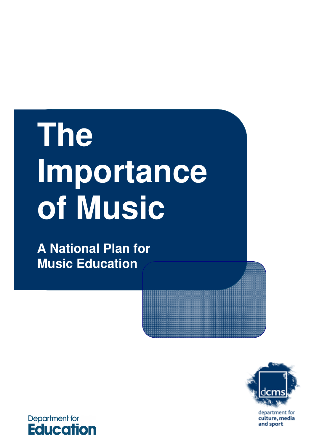# **The Importance of Music**

**A National Plan for Music Education** 



department for culture, media<br>and sport

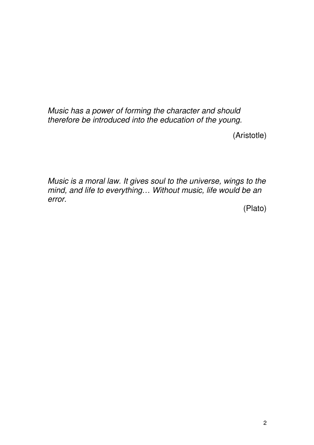$\ddot{\phantom{0}}$  $\overline{a}$ Music has a power of forming the character and should therefore be introduced into the education of the young.

(Aristotle)

 Music is a moral law. It gives soul to the universe, wings to the mind, and life to everything… Without music, life would be an error.

(Plato) (Plato) 2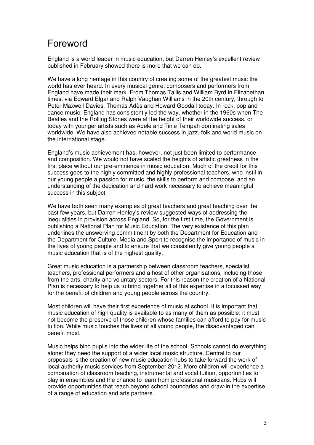# Foreword

 England is a world leader in music education, but Darren Henley's excellent review published in February showed there is more that we can do.

 We have a long heritage in this country of creating some of the greatest music the world has ever heard. In every musical genre, composers and performers from England have made their mark. From Thomas Tallis and William Byrd in Elizabethan times, via Edward Elgar and Ralph Vaughan Williams in the 20th century, through to Peter Maxwell Davies, Thomas Adès and Howard Goodall today. In rock, pop and dance music, England has consistently led the way, whether in the 1960s when The Beatles and the Rolling Stones were at the height of their worldwide success, or today with younger artists such as Adele and Tinie Tempah dominating sales worldwide. We have also achieved notable success in jazz, folk and world music on the international stage.

 England's music achievement has, however, not just been limited to performance and composition. We would not have scaled the heights of artistic greatness in the first place without our pre-eminence in music education. Much of the credit for this success goes to the highly committed and highly professional teachers, who instil in our young people a passion for music, the skills to perform and compose, and an understanding of the dedication and hard work necessary to achieve meaningful success in this subject.

 We have both seen many examples of great teachers and great teaching over the past few years, but Darren Henley's review suggested ways of addressing the inequalities in provision across England. So, for the first time, the Government is publishing a National Plan for Music Education. The very existence of this plan underlines the unswerving commitment by both the Department for Education and the Department for Culture, Media and Sport to recognise the importance of music in the lives of young people and to ensure that we consistently give young people a music education that is of the highest quality.

 Great music education is a partnership between classroom teachers, specialist teachers, professional performers and a host of other organisations, including those from the arts, charity and voluntary sectors. For this reason the creation of a National Plan is necessary to help us to bring together all of this expertise in a focussed way for the benefit of children and young people across the country.

 Most children will have their first experience of music at school. It is important that music education of high quality is available to as many of them as possible: it must not become the preserve of those children whose families can afford to pay for music tuition. While music touches the lives of all young people, the disadvantaged can benefit most.

 Music helps bind pupils into the wider life of the school. Schools cannot do everything alone: they need the support of a wider local music structure. Central to our proposals is the creation of new music education hubs to take forward the work of local authority music services from September 2012. More children will experience a combination of classroom teaching, instrumental and vocal tuition, opportunities to play in ensembles and the chance to learn from professional musicians. Hubs will provide opportunities that reach beyond school boundaries and draw-in the expertise of a range of education and arts partners.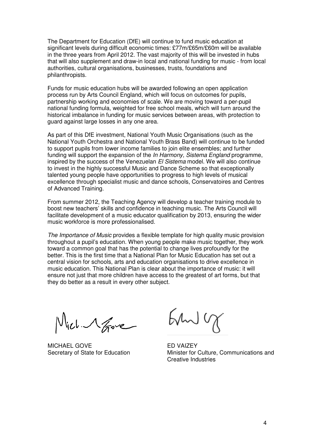The Department for Education (DfE) will continue to fund music education at significant levels during difficult economic times: £77m/£65m/£60m will be available in the three years from April 2012. The vast majority of this will be invested in hubs that will also supplement and draw-in local and national funding for music - from local authorities, cultural organisations, businesses, trusts, foundations and philanthropists.

philanthropists.<br>Funds for music education hubs will be awarded following an open application process run by Arts Council England, which will focus on outcomes for pupils, partnership working and economies of scale. We are moving toward a per-pupil historical imbalance in funding for music services between areas, with protection to guard against large losses in any one area. national funding formula, weighted for free school meals, which will turn around the

 As part of this DfE investment, National Youth Music Organisations (such as the National Youth Orchestra and National Youth Brass Band) will continue to be funded to support pupils from lower income families to join elite ensembles; and further funding will support the expansion of the In Harmony, Sistema England programme, inspired by the success of the Venezuelan *El Sistema* model. We will also continue to invest in the highly successful Music and Dance Scheme so that exceptionally talented young people have opportunities to progress to high levels of musical excellence through specialist music and dance schools, Conservatoires and Centres of Advanced Training.

 From summer 2012, the Teaching Agency will develop a teacher training module to boost new teachers' skills and confidence in teaching music. The Arts Council will facilitate development of a music educator qualification by 2013, ensuring the wider music workforce is more professionalised.

The Importance of Music provides a flexible template for high quality music provision throughout a pupil's education. When young people make music together, they work toward a common goal that has the potential to change lives profoundly for the better. This is the first time that a National Plan for Music Education has set out a central vision for schools, arts and education organisations to drive excellence in music education. This National Plan is clear about the importance of music: it will ensure not just that more children have access to the greatest of art forms, but that they do better as a result in every other subject.

Vich 1 Gove

MICHAEL GOVE **ED VAIZEY** 

 $5400$ 

Secretary of State for Education Minister for Culture, Communications and Creative Industries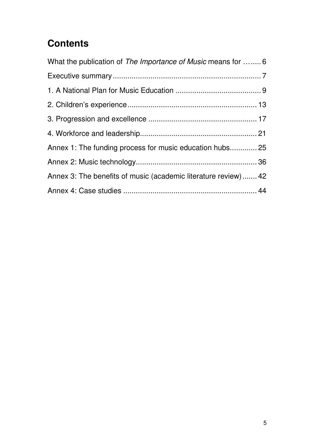# **Contents**

| What the publication of The Importance of Music means for 6     |  |
|-----------------------------------------------------------------|--|
|                                                                 |  |
|                                                                 |  |
|                                                                 |  |
|                                                                 |  |
|                                                                 |  |
| Annex 1: The funding process for music education hubs 25        |  |
|                                                                 |  |
| Annex 3: The benefits of music (academic literature review)  42 |  |
|                                                                 |  |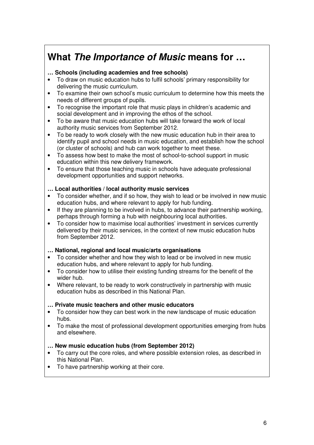# <span id="page-5-0"></span> **What The Importance of Music means for …**

# **… Schools (including academies and free schools)**

- • To draw on music education hubs to fulfil schools' primary responsibility for delivering the music curriculum.
- $\bullet$  needs of different groups of pupils. To examine their own school's music curriculum to determine how this meets the
- social development and in improving the ethos of the school. • To recognise the important role that music plays in children's academic and
- $\bullet$  authority music services from September 2012. To be aware that music education hubs will take forward the work of local
- $\bullet$  identify pupil and school needs in music education, and establish how the school (or cluster of schools) and hub can work together to meet these. To be ready to work closely with the new music education hub in their area to
- $\bullet$  education within this new delivery framework. To assess how best to make the most of school-to-school support in music
- $\bullet$  development opportunities and support networks. To ensure that those teaching music in schools have adequate professional

# **… Local authorities / local authority music services**

- To consider whether, and if so how, they wish to lead or be involved in new music education hubs, and where relevant to apply for hub funding.
- $\bullet$  perhaps through forming a hub with neighbouring local authorities. If they are planning to be involved in hubs, to advance their partnership working,
- $\bullet$  delivered by their music services, in the context of new music education hubs from September 2012. To consider how to maximise local authorities' investment in services currently

#### **… National, regional and local music/arts organisations**

- To consider whether and how they wish to lead or be involved in new music education hubs, and where relevant to apply for hub funding.
- $\bullet$  wider hub. To consider how to utilise their existing funding streams for the benefit of the
- $\bullet$  education hubs as described in this National Plan. Where relevant, to be ready to work constructively in partnership with music

#### **… Private music teachers and other music educators**

- To consider how they can best work in the new landscape of music education hubs.
- $\bullet$  and elsewhere. To make the most of professional development opportunities emerging from hubs

# **… New music education hubs (from September 2012)**

- • To carry out the core roles, and where possible extension roles, as described in this National Plan.
- $\bullet$ To have partnership working at their core.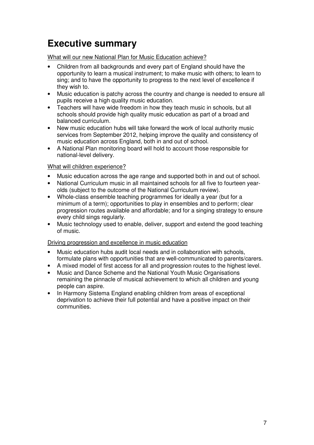# <span id="page-6-0"></span> **Executive summary**

What will our new National Plan for Music Education achieve?

- opportunity to learn a musical instrument; to make music with others; to learn to sing; and to have the opportunity to progress to the next level of excellence if they wish to. Children from all backgrounds and every part of England should have the
- pupils receive a high quality music education. Music education is patchy across the country and change is needed to ensure all
- Teachers will have wide freedom in how they teach music in schools, but all schools should provide high quality music education as part of a broad and balanced curriculum.
- $\bullet$  services from September 2012, helping improve the quality and consistency of music education across England, both in and out of school. New music education hubs will take forward the work of local authority music
- $\bullet$  national-level delivery. • A National Plan monitoring board will hold to account those responsible for

# What will children experience?

- $\bullet$ Music education across the age range and supported both in and out of school.
- $\bullet$  olds (subject to the outcome of the National Curriculum review). National Curriculum music in all maintained schools for all five to fourteen year-
- Whole-class ensemble teaching programmes for ideally a year (but for a minimum of a term); opportunities to play in ensembles and to perform; clear progression routes available and affordable; and for a singing strategy to ensure every child sings regularly.
- of music. Music technology used to enable, deliver, support and extend the good teaching

# Driving progression and excellence in music education

- $\bullet$  formulate plans with opportunities that are well-communicated to parents/carers. Music education hubs audit local needs and in collaboration with schools.
- $\bullet$ A mixed model of first access for all and progression routes to the highest level.
- remaining the pinnacle of musical achievement to which all children and young people can aspire. **Music and Dance Scheme and the National Youth Music Organisations**
- $\bullet$  deprivation to achieve their full potential and have a positive impact on their In Harmony Sistema England enabling children from areas of exceptional communities.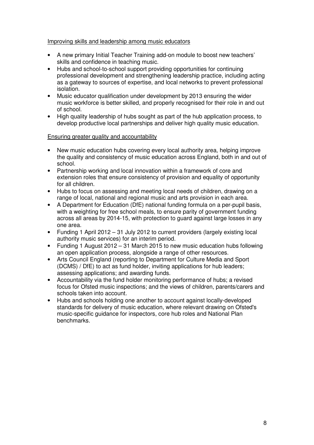#### Improving skills and leadership among music educators

- • A new primary Initial Teacher Training add-on module to boost new teachers' skills and confidence in teaching music.
- $\bullet$  professional development and strengthening leadership practice, including acting as a gateway to sources of expertise, and local networks to prevent professional Hubs and school-to-school support providing opportunities for continuing isolation.
- $\bullet$  music workforce is better skilled, and properly recognised for their role in and out of school. Music educator qualification under development by 2013 ensuring the wider
- $\bullet$  develop productive local partnerships and deliver high quality music education. High quality leadership of hubs sought as part of the hub application process, to

#### Ensuring greater quality and accountability

- the quality and consistency of music education across England, both in and out of New music education hubs covering every local authority area, helping improve school.
- Partnership working and local innovation within a framework of core and extension roles that ensure consistency of provision and equality of opportunity for all children.
- $\bullet$  range of local, national and regional music and arts provision in each area. Hubs to focus on assessing and meeting local needs of children, drawing on a
- $\bullet$  with a weighting for free school meals, to ensure parity of government funding across all areas by 2014-15, with protection to guard against large losses in any one area. A Department for Education (DfE) national funding formula on a per-pupil basis,
- authority music services) for an interim period. Funding 1 April 2012 – 31 July 2012 to current providers (largely existing local
- an open application process, alongside a range of other resources. • Funding 1 August 2012 – 31 March 2015 to new music education hubs following
- $\bullet$  (DCMS) / DfE) to act as fund holder, inviting applications for hub leaders; assessing applications; and awarding funds. Arts Council England (reporting to Department for Culture Media and Sport
- Accountability via the fund holder monitoring performance of hubs; a revised focus for Ofsted music inspections; and the views of children, parents/carers and schools taken into account.
- standards for delivery of music education, where relevant drawing on Ofsted's music-specific guidance for inspectors, core hub roles and National Plan Hubs and schools holding one another to account against locally-developed benchmarks.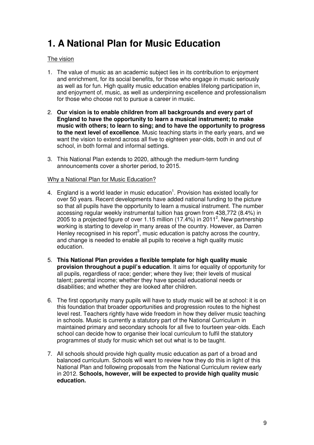# <span id="page-8-0"></span> **1. A National Plan for Music Education**

#### The vision

- 1. The value of music as an academic subject lies in its contribution to enjoyment and enrichment, for its social benefits, for those who engage in music seriously as well as for fun. High quality music education enables lifelong participation in, and enjoyment of, music, as well as underpinning excellence and professionalism for those who choose not to pursue a career in music.
- 2. **Our vision is to enable children from all backgrounds and every part of England to have the opportunity to learn a musical instrument; to make music with others; to learn to sing; and to have the opportunity to progress to the next level of excellence**. Music teaching starts in the early years, and we want the vision to extend across all five to eighteen year-olds, both in and out of school, in both formal and informal settings.
- 3. This National Plan extends to 2020, although the medium-term funding announcements cover a shorter period, to 2015.

#### Why a National Plan for Music Education?

- 4. England is a world leader in music education<sup>1</sup>. Provision has existed locally for over 50 years. Recent developments have added national funding to the picture so that all pupils have the opportunity to learn a musical instrument. The number accessing regular weekly instrumental tuition has grown from 438,772 (8.4%) in 2005 to a projected figure of over 1.15 million (17.4%) in 2011<sup>2</sup>. New partnership working is starting to develop in many areas of the country. However, as Darren Henley recognised in his report<sup>3</sup>, music education is patchy across the country, and change is needed to enable all pupils to receive a high quality music education.
- 5. **This National Plan provides a flexible template for high quality music provision throughout a pupil's education**. It aims for equality of opportunity for all pupils, regardless of race; gender; where they live; their levels of musical talent; parental income; whether they have special educational needs or disabilities; and whether they are looked after children.
- 6. The first opportunity many pupils will have to study music will be at school: it is on this foundation that broader opportunities and progression routes to the highest level rest. Teachers rightly have wide freedom in how they deliver music teaching in schools. Music is currently a statutory part of the National Curriculum in maintained primary and secondary schools for all five to fourteen year-olds. Each school can decide how to organise their local curriculum to fulfil the statutory programmes of study for music which set out what is to be taught.
- 7. All schools should provide high quality music education as part of a broad and balanced curriculum. Schools will want to review how they do this in light of this National Plan and following proposals from the National Curriculum review early in 2012. **Schools, however, will be expected to provide high quality music education.**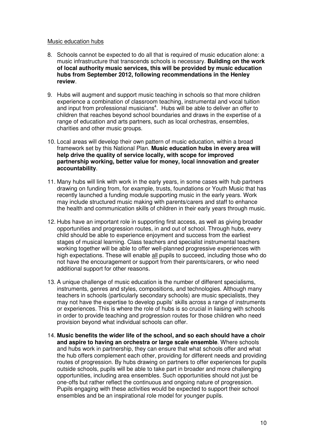#### Music education hubs

- 8. Schools cannot be expected to do all that is required of music education alone: a music infrastructure that transcends schools is necessary. **Building on the work of local authority music services, this will be provided by music education hubs from September 2012, following recommendations in the Henley**  review.
- **review**.<br>9. Hubs will augment and support music teaching in schools so that more children experience a combination of classroom teaching, instrumental and vocal tuition and input from professional musicians<sup>4</sup>. Hubs will be able to deliver an offer to children that reaches beyond school boundaries and draws in the expertise of a range of education and arts partners, such as local orchestras, ensembles, charities and other music groups.
- 10. Local areas will develop their own pattern of music education, within a broad framework set by this National Plan. **Music education hubs in every area will help drive the quality of service locally, with scope for improved partnership working, better value for money, local innovation and greater**  accountability.
- **accountability**. 11. Many hubs will link with work in the early years, in some cases with hub partners drawing on funding from, for example, trusts, foundations or Youth Music that has recently launched a funding module supporting music in the early years. Work may include structured music making with parents/carers and staff to enhance the health and communication skills of children in their early years through music.
- 12. Hubs have an important role in supporting first access, as well as giving broader opportunities and progression routes, in and out of school. Through hubs, every child should be able to experience enjoyment and success from the earliest stages of musical learning. Class teachers and specialist instrumental teachers working together will be able to offer well-planned progressive experiences with high expectations. These will enable all pupils to succeed, including those who do not have the encouragement or support from their parents/carers, or who need additional support for other reasons.
- 13. A unique challenge of music education is the number of different specialisms, instruments, genres and styles, compositions, and technologies. Although many teachers in schools (particularly secondary schools) are music specialists, they may not have the expertise to develop pupils' skills across a range of instruments or experiences. This is where the role of hubs is so crucial in liaising with schools in order to provide teaching and progression routes for those children who need provision beyond what individual schools can offer.
- 14. **Music benefits the wider life of the school, and so each should have a choir and aspire to having an orchestra or large scale ensemble**. Where schools and hubs work in partnership, they can ensure that what schools offer and what the hub offers complement each other, providing for different needs and providing routes of progression. By hubs drawing on partners to offer experiences for pupils outside schools, pupils will be able to take part in broader and more challenging opportunities, including area ensembles. Such opportunities should not just be one-offs but rather reflect the continuous and ongoing nature of progression. Pupils engaging with these activities would be expected to support their school ensembles and be an inspirational role model for younger pupils.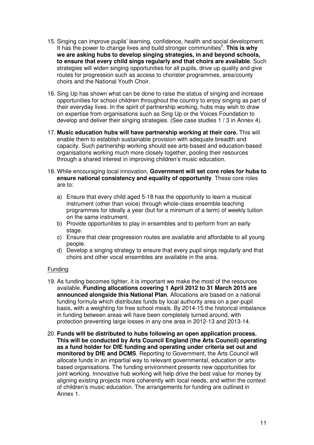- 15. Singing can improve pupils' learning, confidence, health and social development. It has the power to change lives and build stronger communities<sup>5</sup>. This is why  **we are asking hubs to develop singing strategies, in and beyond schools, to ensure that every child sings regularly and that choirs are available**. Such strategies will widen singing opportunities for all pupils, drive up quality and give routes for progression such as access to chorister programmes, area/county choirs and the National Youth Choir.
- 16. Sing Up has shown what can be done to raise the status of singing and increase opportunities for school children throughout the country to enjoy singing as part of their everyday lives. In the spirit of partnership working, hubs may wish to draw on expertise from organisations such as Sing Up or the Voices Foundation to develop and deliver their singing strategies. (See case studies 1 / 3 in Annex 4).
- 17. **Music education hubs will have partnership working at their core.** This will enable them to establish sustainable provision with adequate breadth and capacity. Such partnership working should see arts-based and education-based organisations working much more closely together, pooling their resources through a shared interest in improving children's music education.
- 18. While encouraging local innovation, **Government will set core roles for hubs to ensure national consistency and equality of opportunity**. These core roles are to:
	- a) Ensure that every child aged 5-18 has the opportunity to learn a musical instrument (other than voice) through whole-class ensemble teaching programmes for ideally a year (but for a minimum of a term) of weekly tuition on the same instrument.
	- b) Provide opportunities to play in ensembles and to perform from an early stage.
	- c) Ensure that clear progression routes are available and affordable to all young people.
	- d) Develop a singing strategy to ensure that every pupil sings regularly and that choirs and other vocal ensembles are available in the area.

#### Funding

- 19. As funding becomes tighter, it is important we make the most of the resources  available. **Funding allocations covering 1 April 2012 to 31 March 2015 are announced alongside this National Plan**. Allocations are based on a national funding formula which distributes funds by local authority area on a per-pupil basis, with a weighting for free school meals. By 2014-15 the historical imbalance in funding between areas will have been completely turned around, with protection preventing large losses in any one area in 2012-13 and 2013-14.
- 20. **Funds will be distributed to hubs following an open application process. This will be conducted by Arts Council England (the Arts Council) operating as a fund holder for DfE funding and operating under criteria set out and monitored by DfE and DCMS**. Reporting to Government, the Arts Council will allocate funds in an impartial way to relevant governmental, education or arts- based organisations. The funding environment presents new opportunities for joint working. Innovative hub working will help drive the best value for money by aligning existing projects more coherently with local needs, and within the context of children's music education. The arrangements for funding are outlined in Annex 1.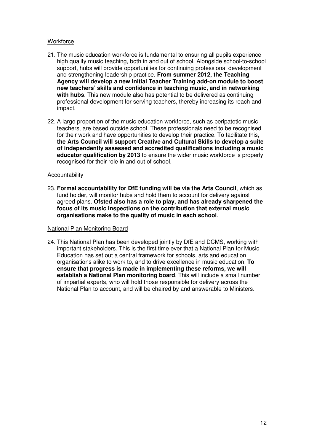### **Workforce**

- 21. The music education workforce is fundamental to ensuring all pupils experience high quality music teaching, both in and out of school. Alongside school-to-school support, hubs will provide opportunities for continuing professional development and strengthening leadership practice. **From summer 2012, the Teaching Agency will develop a new Initial Teacher Training add-on module to boost new teachers' skills and confidence in teaching music, and in networking with hubs**. This new module also has potential to be delivered as continuing professional development for serving teachers, thereby increasing its reach and impact.
- 22. A large proportion of the music education workforce, such as peripatetic music teachers, are based outside school. These professionals need to be recognised for their work and have opportunities to develop their practice. To facilitate this,  **the Arts Council will support Creative and Cultural Skills to develop a suite of independently assessed and accredited qualifications including a music educator qualification by 2013** to ensure the wider music workforce is properly recognised for their role in and out of school.

#### Accountability

 23. **Formal accountability for DfE funding will be via the Arts Council**, which as fund holder, will monitor hubs and hold them to account for delivery against agreed plans. **Ofsted also has a role to play, and has already sharpened the focus of its music inspections on the contribution that external music organisations make to the quality of music in each school**.

#### National Plan Monitoring Board

 24. This National Plan has been developed jointly by DfE and DCMS, working with important stakeholders. This is the first time ever that a National Plan for Music Education has set out a central framework for schools, arts and education organisations alike to work to, and to drive excellence in music education. **To ensure that progress is made in implementing these reforms, we will establish a National Plan monitoring board**. This will include a small number of impartial experts, who will hold those responsible for delivery across the National Plan to account, and will be chaired by and answerable to Ministers.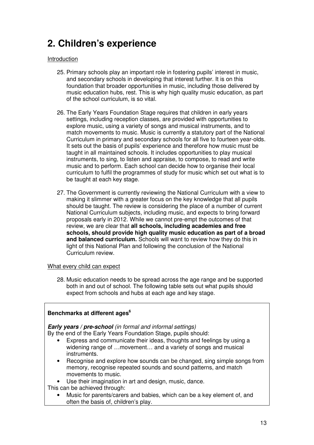# <span id="page-12-0"></span> **2. Children's experience**

### Introduction

- 25. Primary schools play an important role in fostering pupils' interest in music, and secondary schools in developing that interest further. It is on this foundation that broader opportunities in music, including those delivered by music education hubs, rest. This is why high quality music education, as part of the school curriculum, is so vital.
- 26. The Early Years Foundation Stage requires that children in early years settings, including reception classes, are provided with opportunities to explore music, using a variety of songs and musical instruments, and to match movements to music. Music is currently a statutory part of the National Curriculum in primary and secondary schools for all five to fourteen year-olds. It sets out the basis of pupils' experience and therefore how music must be taught in all maintained schools. It includes opportunities to play musical instruments, to sing, to listen and appraise, to compose, to read and write music and to perform. Each school can decide how to organise their local curriculum to fulfil the programmes of study for music which set out what is to be taught at each key stage.
- 27. The Government is currently reviewing the National Curriculum with a view to making it slimmer with a greater focus on the key knowledge that all pupils should be taught. The review is considering the place of a number of current National Curriculum subjects, including music, and expects to bring forward proposals early in 2012. While we cannot pre-empt the outcomes of that review, we are clear that **all schools, including academies and free schools, should provide high quality music education as part of a broad and balanced curriculum.** Schools will want to review how they do this in light of this National Plan and following the conclusion of the National Curriculum review.

#### What every child can expect

 28. Music education needs to be spread across the age range and be supported both in and out of school. The following table sets out what pupils should expect from schools and hubs at each age and key stage.

# Benchmarks at different ages<sup>6</sup>

# **Early years / pre-school** (in formal and informal settings)

By the end of the Early Years Foundation Stage, pupils should:

- widening range of …movement… and a variety of songs and musical Express and communicate their ideas, thoughts and feelings by using a instruments.
- Recognise and explore how sounds can be changed, sing simple songs from memory, recognise repeated sounds and sound patterns, and match movements to music.
- Use their imagination in art and design, music, dance.
- This can be achieved through:
	- often the basis of, children's play. Music for parents/carers and babies, which can be a key element of, and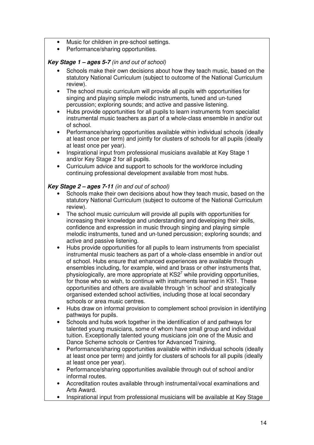- Music for children in pre-school settings.
- Performance/sharing opportunities.

# **Key Stage 1 – ages 5-7** (in and out of school)

- statutory National Curriculum (subject to outcome of the National Curriculum review). Schools make their own decisions about how they teach music, based on the
- singing and playing simple melodic instruments, tuned and un-tuned percussion; exploring sounds; and active and passive listening. The school music curriculum will provide all pupils with opportunities for
- instrumental music teachers as part of a whole-class ensemble in and/or out of school. Hubs provide opportunities for all pupils to learn instruments from specialist
- Performance/sharing opportunities available within individual schools (ideally at least once per term) and jointly for clusters of schools for all pupils (ideally at least once per year).
- Inspirational input from professional musicians available at Key Stage 1 and/or Key Stage 2 for all pupils.
- Curriculum advice and support to schools for the workforce including continuing professional development available from most hubs.

# **Key Stage 2 – ages 7-11** (in and out of school)

- statutory National Curriculum (subject to outcome of the National Curriculum review). Schools make their own decisions about how they teach music, based on the
- increasing their knowledge and understanding and developing their skills, confidence and expression in music through singing and playing simple melodic instruments, tuned and un-tuned percussion; exploring sounds; and active and passive listening. The school music curriculum will provide all pupils with opportunities for
- instrumental music teachers as part of a whole-class ensemble in and/or out of school. Hubs ensure that enhanced experiences are available through ensembles including, for example, wind and brass or other instruments that, physiologically, are more appropriate at  $\text{KS}2^7$  while providing opportunities, for those who so wish, to continue with instruments learned in KS1. These opportunities and others are available through 'in school' and strategically organised extended school activities, including those at local secondary schools or area music centres. Hubs provide opportunities for all pupils to learn instruments from specialist
- pathways for pupils. Hubs draw on informal provision to complement school provision in identifying
- talented young musicians, some of whom have small group and individual tuition. Exceptionally talented young musicians join one of the Music and Dance Scheme schools or Centres for Advanced Training. Schools and hubs work together in the identification of and pathways for
- Performance/sharing opportunities available within individual schools (ideally at least once per term) and jointly for clusters of schools for all pupils (ideally at least once per year).
- • Performance/sharing opportunities available through out of school and/or informal routes.
- • Accreditation routes available through instrumental/vocal examinations and Arts Award.
- Inspirational input from professional musicians will be available at Key Stage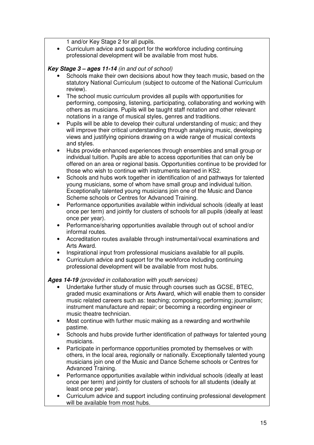1 and/or Key Stage 2 for all pupils.

 • Curriculum advice and support for the workforce including continuing professional development will be available from most hubs.

# **Key Stage 3 – ages 11-14** (in and out of school)

- statutory National Curriculum (subject to outcome of the National Curriculum review). Schools make their own decisions about how they teach music, based on the
- performing, composing, listening, participating, collaborating and working with others as musicians. Pupils will be taught staff notation and other relevant notations in a range of musical styles, genres and traditions. The school music curriculum provides all pupils with opportunities for
- will improve their critical understanding through analysing music, developing views and justifying opinions drawing on a wide range of musical contexts and styles. Pupils will be able to develop their cultural understanding of music; and they
- individual tuition. Pupils are able to access opportunities that can only be offered on an area or regional basis. Opportunities continue to be provided for those who wish to continue with instruments learned in KS2. Hubs provide enhanced experiences through ensembles and small group or
- young musicians, some of whom have small group and individual tuition. Exceptionally talented young musicians join one of the Music and Dance Scheme schools or Centres for Advanced Training. Schools and hubs work together in identification of and pathways for talented
- • Performance opportunities available within individual schools (ideally at least once per term) and jointly for clusters of schools for all pupils (ideally at least once per year).
- • Performance/sharing opportunities available through out of school and/or informal routes.
- • Accreditation routes available through instrumental/vocal examinations and Arts Award.
- • Inspirational input from professional musicians available for all pupils.
- • Curriculum advice and support for the workforce including continuing professional development will be available from most hubs.

# **Ages 14-19** (provided in collaboration with youth services)

- Undertake further study of music through courses such as GCSE, BTEC, graded music examinations or Arts Award, which will enable them to consider music related careers such as: teaching; composing; performing; journalism; instrument manufacture and repair; or becoming a recording engineer or music theatre technician.
- Most continue with further music making as a rewarding and worthwhile pastime.
- musicians. Schools and hubs provide further identification of pathways for talented young
- musicians.<br>• Participate in performance opportunities promoted by themselves or with others, in the local area, regionally or nationally. Exceptionally talented young musicians join one of the Music and Dance Scheme schools or Centres for Advanced Training.
- • Performance opportunities available within individual schools (ideally at least once per term) and jointly for clusters of schools for all students (ideally at least once per year).
- • Curriculum advice and support including continuing professional development will be available from most hubs.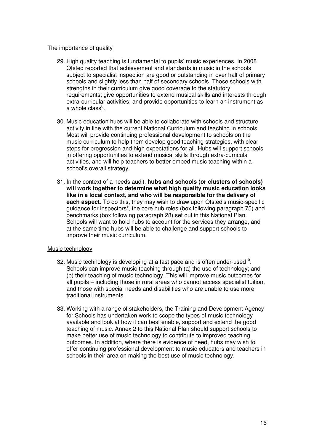# The importance of quality

- 29. High quality teaching is fundamental to pupils' music experiences. In 2008 Ofsted reported that achievement and standards in music in the schools subject to specialist inspection are good or outstanding in over half of primary schools and slightly less than half of secondary schools. Those schools with strengths in their curriculum give good coverage to the statutory requirements; give opportunities to extend musical skills and interests through extra-curricular activities; and provide opportunities to learn an instrument as a whole class<sup>8</sup>.
- 30. Music education hubs will be able to collaborate with schools and structure activity in line with the current National Curriculum and teaching in schools. Most will provide continuing professional development to schools on the music curriculum to help them develop good teaching strategies, with clear steps for progression and high expectations for all. Hubs will support schools in offering opportunities to extend musical skills through extra-curricula activities, and will help teachers to better embed music teaching within a school's overall strategy.
- 31. In the context of a needs audit, **hubs and schools (or clusters of schools) will work together to determine what high quality music education looks like in a local context, and who will be responsible for the delivery of each aspect.** To do this, they may wish to draw upon Ofsted's music-specific guidance for inspectors<sup>9</sup>, the core hub roles (box following paragraph 75) and benchmarks (box following paragraph 28) set out in this National Plan. Schools will want to hold hubs to account for the services they arrange, and at the same time hubs will be able to challenge and support schools to improve their music curriculum.

#### Music technology

- 32. Music technology is developing at a fast pace and is often under-used<sup>10</sup>. Schools can improve music teaching through (a) the use of technology; and (b) their teaching of music technology. This will improve music outcomes for all pupils – including those in rural areas who cannot access specialist tuition, and those with special needs and disabilities who are unable to use more traditional instruments.
- 33. Working with a range of stakeholders, the Training and Development Agency for Schools has undertaken work to scope the types of music technology available and look at how it can best enable, support and extend the good teaching of music. Annex 2 to this National Plan should support schools to make better use of music technology to contribute to improved teaching outcomes. In addition, where there is evidence of need, hubs may wish to offer continuing professional development to music educators and teachers in schools in their area on making the best use of music technology.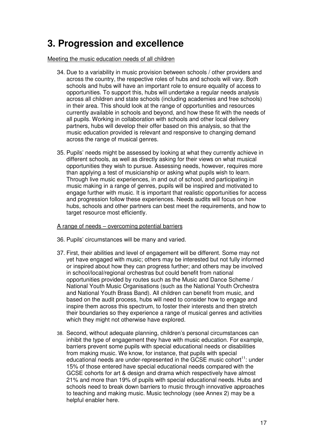# <span id="page-16-0"></span> **3. Progression and excellence**

Meeting the music education needs of all children

- 34. Due to a variability in music provision between schools / other providers and across the country, the respective roles of hubs and schools will vary. Both schools and hubs will have an important role to ensure equality of access to opportunities. To support this, hubs will undertake a regular needs analysis across all children and state schools (including academies and free schools) in their area. This should look at the range of opportunities and resources currently available in schools and beyond, and how these fit with the needs of all pupils. Working in collaboration with schools and other local delivery partners, hubs will develop their offer based on this analysis, so that the music education provided is relevant and responsive to changing demand across the range of musical genres.
- 35. Pupils' needs might be assessed by looking at what they currently achieve in different schools, as well as directly asking for their views on what musical opportunities they wish to pursue. Assessing needs, however, requires more than applying a test of musicianship or asking what pupils wish to learn. Through live music experiences, in and out of school, and participating in music making in a range of genres, pupils will be inspired and motivated to engage further with music. It is important that realistic opportunities for access and progression follow these experiences. Needs audits will focus on how hubs, schools and other partners can best meet the requirements, and how to target resource most efficiently.

A range of needs – overcoming potential barriers

- 36. Pupils' circumstances will be many and varied.
- 37. First, their abilities and level of engagement will be different. Some may not yet have engaged with music; others may be interested but not fully informed or inspired about how they can progress further; and others may be involved in school/local/regional orchestras but could benefit from national opportunities provided by routes such as the Music and Dance Scheme / National Youth Music Organisations (such as the National Youth Orchestra and National Youth Brass Band). All children can benefit from music, and based on the audit process, hubs will need to consider how to engage and inspire them across this spectrum, to foster their interests and then stretch their boundaries so they experience a range of musical genres and activities which they might not otherwise have explored.
- 38. Second, without adequate planning, children's personal circumstances can inhibit the type of engagement they have with music education. For example, barriers prevent some pupils with special educational needs or disabilities from making music. We know, for instance, that pupils with special educational needs are under-represented in the GCSE music cohort<sup>11</sup>: under 15% of those entered have special educational needs compared with the GCSE cohorts for art & design and drama which respectively have almost 21% and more than 19% of pupils with special educational needs. Hubs and schools need to break down barriers to music through innovative approaches to teaching and making music. Music technology (see Annex 2) may be a helpful enabler here.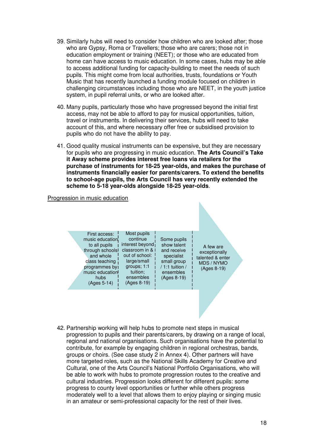- 39. Similarly hubs will need to consider how children who are looked after; those who are Gypsy, Roma or Travellers; those who are carers; those not in education employment or training (NEET); or those who are educated from home can have access to music education. In some cases, hubs may be able to access additional funding for capacity-building to meet the needs of such pupils. This might come from local authorities, trusts, foundations or Youth Music that has recently launched a funding module focused on children in challenging circumstances including those who are NEET, in the youth justice system, in pupil referral units, or who are looked after.
- 40. Many pupils, particularly those who have progressed beyond the initial first access, may not be able to afford to pay for musical opportunities, tuition, travel or instruments. In delivering their services, hubs will need to take account of this, and where necessary offer free or subsidised provision to pupils who do not have the ability to pay.
- 41. Good quality musical instruments can be expensive, but they are necessary for pupils who are progressing in music education. **The Arts Council's Take it Away scheme provides interest free loans via retailers for the purchase of instruments for 18-25 year-olds, and makes the purchase of instruments financially easier for parents/carers. To extend the benefits to school-age pupils, the Arts Council has very recently extended the scheme to 5-18 year-olds alongside 18-25 year-olds**.

#### Progression in music education



42. Partnership working will help hubs to promote next steps in musical progression to pupils and their parents/carers, by drawing on a range of local, regional and national organisations. Such organisations have the potential to contribute, for example by engaging children in regional orchestras, bands, groups or choirs. (See case study 2 in Annex 4). Other partners will have more targeted roles, such as the National Skills Academy for Creative and Cultural, one of the Arts Council's National Portfolio Organisations, who will be able to work with hubs to promote progression routes to the creative and cultural industries. Progression looks different for different pupils: some progress to county level opportunities or further while others progress moderately well to a level that allows them to enjoy playing or singing music in an amateur or semi-professional capacity for the rest of their lives.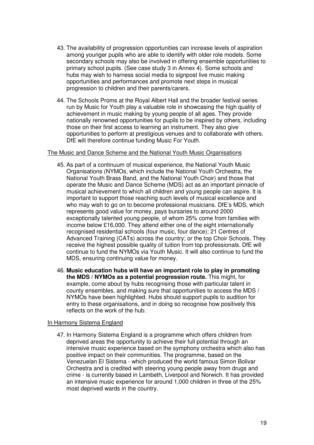- 43. The availability of progression opportunities can increase levels of aspiration among younger pupils who are able to identify with older role models. Some secondary schools may also be involved in offering ensemble opportunities to primary school pupils. (See case study 3 in Annex 4). Some schools and hubs may wish to harness social media to signpost live music making opportunities and performances and promote next steps in musical progression to children and their parents/carers.
- 44. The Schools Proms at the Royal Albert Hall and the broader festival series run by Music for Youth play a valuable role in showcasing the high quality of achievement in music making by young people of all ages. They provide nationally renowned opportunities for pupils to be inspired by others, including those on their first access to learning an instrument. They also give opportunities to perform at prestigious venues and to collaborate with others. DfE will therefore continue funding Music For Youth.

#### The Music and Dance Scheme and the National Youth Music Organisations

- 45. As part of a continuum of musical experience, the National Youth Music Organisations (NYMOs, which include the National Youth Orchestra, the National Youth Brass Band, and the National Youth Choir) and those that operate the Music and Dance Scheme (MDS) act as an important pinnacle of musical achievement to which all children and young people can aspire. It is important to support those reaching such levels of musical excellence and who may wish to go on to become professional musicians. DfE's MDS, which represents good value for money, pays bursaries to around 2000 exceptionally talented young people, of whom 25% come from families with income below £16,000. They attend either one of the eight internationally recognised residential schools (four music, four dance); 21 Centres of Advanced Training (CATs) across the country; or the top Choir Schools. They receive the highest possible quality of tuition from top professionals. DfE will continue to fund the NYMOs via Youth Music. It will also continue to fund the MDS, ensuring continuing value for money.
- 46. **Music education hubs will have an important role to play in promoting the MDS / NYMOs as a potential progression route.** This might, for example, come about by hubs recognising those with particular talent in county ensembles, and making sure that opportunities to access the MDS / NYMOs have been highlighted. Hubs should support pupils to audition for entry to these organisations, and in doing so recognise how positively this reflects on the work of the hub.

#### In Harmony Sistema England

 47. In Harmony Sistema England is a programme which offers children from deprived areas the opportunity to achieve their full potential through an intensive music experience based on the symphony orchestra which also has positive impact on their communities. The programme, based on the Venezuelan El Sistema - which produced the world famous Simon Bolivar Orchestra and is credited with steering young people away from drugs and crime - is currently based in Lambeth, Liverpool and Norwich. It has provided an intensive music experience for around 1,000 children in three of the 25% most deprived wards in the country.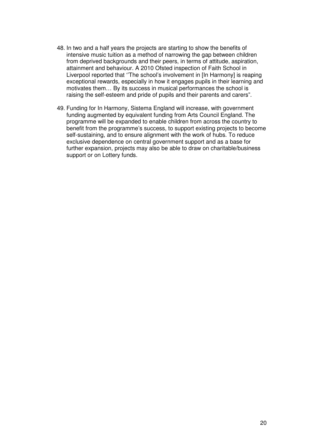- 48. In two and a half years the projects are starting to show the benefits of intensive music tuition as a method of narrowing the gap between children from deprived backgrounds and their peers, in terms of attitude, aspiration, attainment and behaviour. A 2010 Ofsted inspection of Faith School in Liverpool reported that ''The school's involvement in [In Harmony] is reaping exceptional rewards, especially in how it engages pupils in their learning and motivates them… By its success in musical performances the school is raising the self-esteem and pride of pupils and their parents and carers".
- 49. Funding for In Harmony, Sistema England will increase, with government funding augmented by equivalent funding from Arts Council England. The programme will be expanded to enable children from across the country to benefit from the programme's success, to support existing projects to become self-sustaining, and to ensure alignment with the work of hubs. To reduce exclusive dependence on central government support and as a base for further expansion, projects may also be able to draw on charitable/business support or on Lottery funds.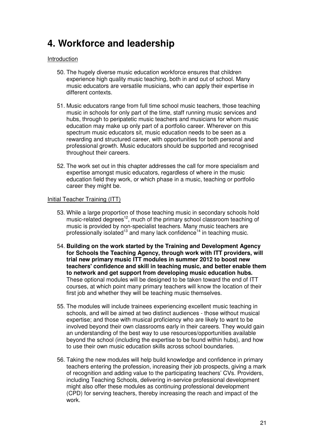# <span id="page-20-0"></span> **4. Workforce and leadership**

#### **Introduction**

- 50. The hugely diverse music education workforce ensures that children experience high quality music teaching, both in and out of school. Many music educators are versatile musicians, who can apply their expertise in different contexts.
- 51. Music educators range from full time school music teachers, those teaching music in schools for only part of the time, staff running music services and hubs, through to peripatetic music teachers and musicians for whom music education may make up only part of a portfolio career. Wherever on this spectrum music educators sit, music education needs to be seen as a rewarding and structured career, with opportunities for both personal and professional growth. Music educators should be supported and recognised throughout their careers.
- 52. The work set out in this chapter addresses the call for more specialism and expertise amongst music educators, regardless of where in the music education field they work, or which phase in a music, teaching or portfolio career they might be.

#### Initial Teacher Training (ITT)

- 53. While a large proportion of those teaching music in secondary schools hold music-related degrees<sup>12</sup>, much of the primary school classroom teaching of music is provided by non-specialist teachers. Many music teachers are professionally isolated<sup>13</sup> and many lack confidence<sup>14</sup> in teaching music.
- 54. **Building on the work started by the Training and Development Agency for Schools the Teaching Agency, through work with ITT providers, will trial new primary music ITT modules in summer 2012 to boost new teachers' confidence and skill in teaching music, and better enable them to network and get support from developing music education hubs.**  These optional modules will be designed to be taken toward the end of ITT courses, at which point many primary teachers will know the location of their first job and whether they will be teaching music themselves.
- 55. The modules will include trainees experiencing excellent music teaching in schools, and will be aimed at two distinct audiences - those without musical expertise; and those with musical proficiency who are likely to want to be involved beyond their own classrooms early in their careers. They would gain an understanding of the best way to use resources/opportunities available beyond the school (including the expertise to be found within hubs), and how to use their own music education skills across school boundaries.
- 56. Taking the new modules will help build knowledge and confidence in primary teachers entering the profession, increasing their job prospects, giving a mark of recognition and adding value to the participating teachers' CVs. Providers, including Teaching Schools, delivering in-service professional development might also offer these modules as continuing professional development (CPD) for serving teachers, thereby increasing the reach and impact of the work. work.<br>21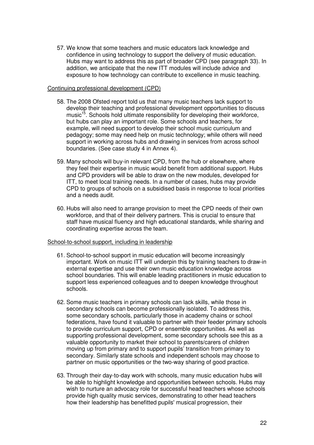57. We know that some teachers and music educators lack knowledge and confidence in using technology to support the delivery of music education. Hubs may want to address this as part of broader CPD (see paragraph 33). In addition, we anticipate that the new ITT modules will include advice and exposure to how technology can contribute to excellence in music teaching.

#### Continuing professional development (CPD)

- 58. The 2008 Ofsted report told us that many music teachers lack support to develop their teaching and professional development opportunities to discuss music<sup>15</sup>. Schools hold ultimate responsibility for developing their workforce, but hubs can play an important role. Some schools and teachers, for example, will need support to develop their school music curriculum and pedagogy; some may need help on music technology; while others will need support in working across hubs and drawing in services from across school boundaries. (See case study 4 in Annex 4).
- 59. Many schools will buy-in relevant CPD, from the hub or elsewhere, where they feel their expertise in music would benefit from additional support. Hubs and CPD providers will be able to draw on the new modules, developed for ITT, to meet local training needs. In a number of cases, hubs may provide CPD to groups of schools on a subsidised basis in response to local priorities and a needs audit.
- 60. Hubs will also need to arrange provision to meet the CPD needs of their own workforce, and that of their delivery partners. This is crucial to ensure that staff have musical fluency and high educational standards, while sharing and coordinating expertise across the team.

#### School-to-school support, including in leadership

- 61. School-to-school support in music education will become increasingly important. Work on music ITT will underpin this by training teachers to draw-in external expertise and use their own music education knowledge across school boundaries. This will enable leading practitioners in music education to support less experienced colleagues and to deepen knowledge throughout schools.
- schools.<br>62. Some music teachers in primary schools can lack skills, while those in secondary schools can become professionally isolated. To address this, some secondary schools, particularly those in academy chains or school federations, have found it valuable to partner with their feeder primary schools to provide curriculum support, CPD or ensemble opportunities. As well as supporting professional development, some secondary schools see this as a valuable opportunity to market their school to parents/carers of children moving up from primary and to support pupils' transition from primary to secondary. Similarly state schools and independent schools may choose to partner on music opportunities or the two-way sharing of good practice.
- 63. Through their day-to-day work with schools, many music education hubs will be able to highlight knowledge and opportunities between schools. Hubs may wish to nurture an advocacy role for successful head teachers whose schools provide high quality music services, demonstrating to other head teachers how their leadership has benefitted pupils' musical progression, their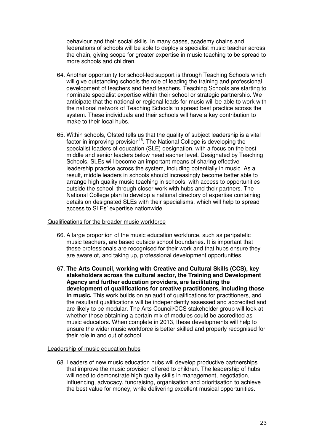behaviour and their social skills. In many cases, academy chains and federations of schools will be able to deploy a specialist music teacher across the chain, giving scope for greater expertise in music teaching to be spread to more schools and children.

- 64. Another opportunity for school-led support is through Teaching Schools which will give outstanding schools the role of leading the training and professional development of teachers and head teachers. Teaching Schools are starting to nominate specialist expertise within their school or strategic partnership. We anticipate that the national or regional leads for music will be able to work with the national network of Teaching Schools to spread best practice across the system. These individuals and their schools will have a key contribution to make to their local hubs.
- 65. Within schools, Ofsted tells us that the quality of subject leadership is a vital factor in improving provision<sup>16</sup>. The National College is developing the specialist leaders of education (SLE) designation, with a focus on the best middle and senior leaders below headteacher level. Designated by Teaching Schools, SLEs will become an important means of sharing effective leadership practice across the system, including potentially in music. As a result, middle leaders in schools should increasingly become better able to arrange high quality music teaching in schools, with access to opportunities outside the school, through closer work with hubs and their partners. The National College plan to develop a national directory of expertise containing details on designated SLEs with their specialisms, which will help to spread access to SLEs' expertise nationwide.

#### Qualifications for the broader music workforce

- 66. A large proportion of the music education workforce, such as peripatetic music teachers, are based outside school boundaries. It is important that these professionals are recognised for their work and that hubs ensure they are aware of, and taking up, professional development opportunities.
- 67. **The Arts Council, working with Creative and Cultural Skills (CCS), key stakeholders across the cultural sector, the Training and Development Agency and further education providers, are facilitating the development of qualifications for creative practitioners, including those in music.** This work builds on an audit of qualifications for practitioners, and the resultant qualifications will be independently assessed and accredited and are likely to be modular. The Arts Council/CCS stakeholder group will look at whether those obtaining a certain mix of modules could be accredited as music educators. When complete in 2013, these developments will help to ensure the wider music workforce is better skilled and properly recognised for their role in and out of school.

#### Leadership of music education hubs

 68. Leaders of new music education hubs will develop productive partnerships that improve the music provision offered to children. The leadership of hubs will need to demonstrate high quality skills in management, negotiation, influencing, advocacy, fundraising, organisation and prioritisation to achieve the best value for money, while delivering excellent musical opportunities.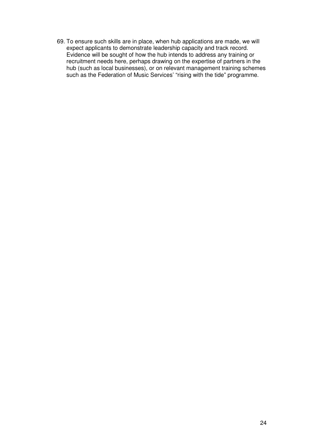69. To ensure such skills are in place, when hub applications are made, we will expect applicants to demonstrate leadership capacity and track record. Evidence will be sought of how the hub intends to address any training or recruitment needs here, perhaps drawing on the expertise of partners in the hub (such as local businesses), or on relevant management training schemes such as the Federation of Music Services' "rising with the tide" programme.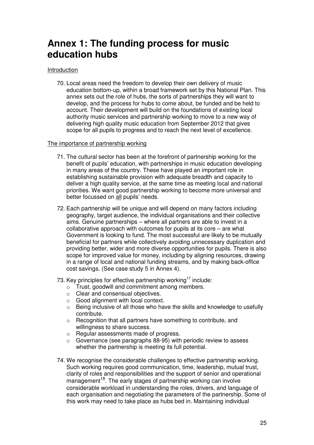# <span id="page-24-0"></span> **Annex 1: The funding process for music education hubs**

### Introduction

 70. Local areas need the freedom to develop their own delivery of music education bottom-up, within a broad framework set by this National Plan. This annex sets out the role of hubs, the sorts of partnerships they will want to develop, and the process for hubs to come about, be funded and be held to account. Their development will build on the foundations of existing local authority music services and partnership working to move to a new way of delivering high quality music education from September 2012 that gives scope for all pupils to progress and to reach the next level of excellence.

#### The importance of partnership working

- 71. The cultural sector has been at the forefront of partnership working for the benefit of pupils' education, with partnerships in music education developing in many areas of the country. These have played an important role in establishing sustainable provision with adequate breadth and capacity to deliver a high quality service, at the same time as meeting local and national priorities. We want good partnership working to become more universal and better focussed on <u>all</u> pupils' needs.
- 72. Each partnership will be unique and will depend on many factors including geography, target audience, the individual organisations and their collective aims. Genuine partnerships – where all partners are able to invest in a collaborative approach with outcomes for pupils at its core – are what Government is looking to fund. The most successful are likely to be mutually beneficial for partners while collectively avoiding unnecessary duplication and providing better, wider and more diverse opportunities for pupils. There is also scope for improved value for money, including by aligning resources, drawing in a range of local and national funding streams, and by making back-office cost savings. (See case study 5 in Annex 4).
- 73. Key principles for effective partnership working<sup>17</sup> include:
	- $\circ$  Trust, goodwill and commitment among members.
	- $\circ$  Clear and consensual objectives.
	- $\circ$  Good alignment with local context.
	- $\circ$  Being inclusive of all those who have the skills and knowledge to usefully contribute.
	- $\circ$  Recognition that all partners have something to contribute, and willingness to share success.
	- $\circ$ Regular assessments made of progress.
	- $\circ$  Governance (see paragraphs 88-95) with periodic review to assess whether the partnership is meeting its full potential.
- 74. We recognise the considerable challenges to effective partnership working. Such working requires good communication, time, leadership, mutual trust, clarity of roles and responsibilities and the support of senior and operational management<sup>18</sup>. The early stages of partnership working can involve considerable workload in understanding the roles, drivers, and language of each organisation and negotiating the parameters of the partnership. Some of this work may need to take place as hubs bed in. Maintaining individual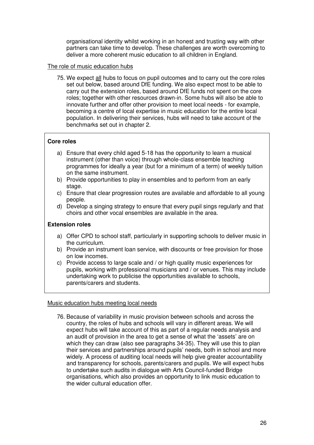organisational identity whilst working in an honest and trusting way with other partners can take time to develop. These challenges are worth overcoming to deliver a more coherent music education to all children in England.

#### The role of music education hubs

75. We expect all hubs to focus on pupil outcomes and to carry out the core roles set out below, based around DfE funding. We also expect most to be able to carry out the extension roles, based around DfE funds not spent on the core roles; together with other resources drawn-in. Some hubs will also be able to innovate further and offer other provision to meet local needs - for example, becoming a centre of local expertise in music education for the entire local population. In delivering their services, hubs will need to take account of the benchmarks set out in chapter 2.

#### **Core roles**

- a) Ensure that every child aged 5-18 has the opportunity to learn a musical instrument (other than voice) through whole-class ensemble teaching programmes for ideally a year (but for a minimum of a term) of weekly tuition on the same instrument.
- b) Provide opportunities to play in ensembles and to perform from an early stage.
- c) Ensure that clear progression routes are available and affordable to all young people.
- d) Develop a singing strategy to ensure that every pupil sings regularly and that choirs and other vocal ensembles are available in the area.

#### **Extension roles**

- a) Offer CPD to school staff, particularly in supporting schools to deliver music in the curriculum.
- b) Provide an instrument loan service, with discounts or free provision for those on low incomes.
- c) Provide access to large scale and / or high quality music experiences for pupils, working with professional musicians and / or venues. This may include undertaking work to publicise the opportunities available to schools, parents/carers and students.

# Music education hubs meeting local needs

 76. Because of variability in music provision between schools and across the country, the roles of hubs and schools will vary in different areas. We will expect hubs will take account of this as part of a regular needs analysis and an audit of provision in the area to get a sense of what the 'assets' are on which they can draw (also see paragraphs 34-35). They will use this to plan their services and partnerships around pupils' needs, both in school and more widely. A process of auditing local needs will help give greater accountability and transparency for schools, parents/carers and pupils. We will expect hubs to undertake such audits in dialogue with Arts Council-funded Bridge organisations, which also provides an opportunity to link music education to the wider cultural education offer.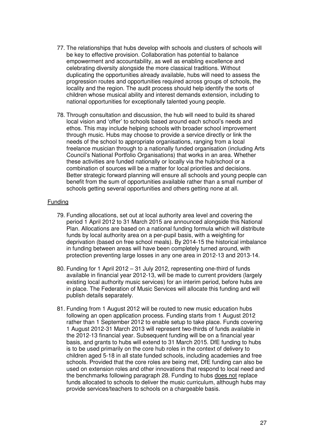- 77. The relationships that hubs develop with schools and clusters of schools will be key to effective provision. Collaboration has potential to balance empowerment and accountability, as well as enabling excellence and celebrating diversity alongside the more classical traditions. Without duplicating the opportunities already available, hubs will need to assess the progression routes and opportunities required across groups of schools, the locality and the region. The audit process should help identify the sorts of children whose musical ability and interest demands extension, including to national opportunities for exceptionally talented young people.
- 78. Through consultation and discussion, the hub will need to build its shared local vision and 'offer' to schools based around each school's needs and ethos. This may include helping schools with broader school improvement through music. Hubs may choose to provide a service directly or link the needs of the school to appropriate organisations, ranging from a local freelance musician through to a nationally funded organisation (including Arts Council's National Portfolio Organisations) that works in an area. Whether these activities are funded nationally or locally via the hub/school or a combination of sources will be a matter for local priorities and decisions. Better strategic forward planning will ensure all schools and young people can benefit from the sum of opportunities available rather than a small number of schools getting several opportunities and others getting none at all.

#### Funding

- 79. Funding allocations, set out at local authority area level and covering the period 1 April 2012 to 31 March 2015 are announced alongside this National Plan. Allocations are based on a national funding formula which will distribute funds by local authority area on a per-pupil basis, with a weighting for deprivation (based on free school meals). By 2014-15 the historical imbalance in funding between areas will have been completely turned around, with protection preventing large losses in any one area in 2012-13 and 2013-14.
- 80. Funding for 1 April 2012 31 July 2012, representing one-third of funds available in financial year 2012-13, will be made to current providers (largely existing local authority music services) for an interim period, before hubs are in place. The Federation of Music Services will allocate this funding and will publish details separately.
- 81. Funding from 1 August 2012 will be routed to new music education hubs following an open application process. Funding starts from 1 August 2012 rather than 1 September 2012 to enable setup to take place. Funds covering 1 August 2012-31 March 2013 will represent two-thirds of funds available in the 2012-13 financial year. Subsequent funding will be on a financial year basis, and grants to hubs will extend to 31 March 2015. DfE funding to hubs is to be used primarily on the core hub roles in the context of delivery to children aged 5-18 in all state funded schools, including academies and free schools. Provided that the core roles are being met, DfE funding can also be used on extension roles and other innovations that respond to local need and the benchmarks following paragraph 28. Funding to hubs does not replace funds allocated to schools to deliver the music curriculum, although hubs may provide services/teachers to schools on a chargeable basis.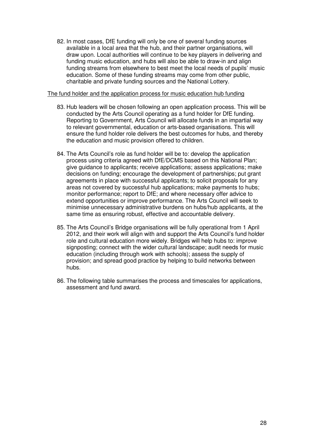82. In most cases, DfE funding will only be one of several funding sources available in a local area that the hub, and their partner organisations, will draw upon. Local authorities will continue to be key players in delivering and funding music education, and hubs will also be able to draw-in and align education. Some of these funding streams may come from other public, charitable and private funding sources and the National Lottery. funding streams from elsewhere to best meet the local needs of pupils' music

#### The fund holder and the application process for music education hub funding

- 83. Hub leaders will be chosen following an open application process. This will be conducted by the Arts Council operating as a fund holder for DfE funding. Reporting to Government, Arts Council will allocate funds in an impartial way to relevant governmental, education or arts-based organisations. This will ensure the fund holder role delivers the best outcomes for hubs, and thereby the education and music provision offered to children.
- 84. The Arts Council's role as fund holder will be to: develop the application process using criteria agreed with DfE/DCMS based on this National Plan; give guidance to applicants; receive applications; assess applications; make decisions on funding; encourage the development of partnerships; put grant agreements in place with successful applicants; to solicit proposals for any areas not covered by successful hub applications; make payments to hubs; monitor performance; report to DfE; and where necessary offer advice to extend opportunities or improve performance. The Arts Council will seek to minimise unnecessary administrative burdens on hubs/hub applicants, at the same time as ensuring robust, effective and accountable delivery.
- 85. The Arts Council's Bridge organisations will be fully operational from 1 April 2012, and their work will align with and support the Arts Council's fund holder role and cultural education more widely. Bridges will help hubs to: improve signposting; connect with the wider cultural landscape; audit needs for music education (including through work with schools); assess the supply of provision; and spread good practice by helping to build networks between hubs.
- hubs.<br>86. The following table summarises the process and timescales for applications, assessment and fund award.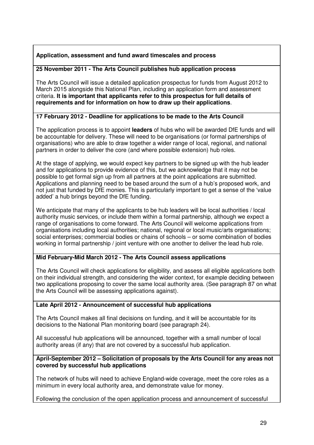# **Application, assessment and fund award timescales and process**

# **25 November 2011 - The Arts Council publishes hub application process**

 The Arts Council will issue a detailed application prospectus for funds from August 2012 to March 2015 alongside this National Plan, including an application form and assessment  criteria. **It is important that applicants refer to this prospectus for full details of requirements and for information on how to draw up their applications**.

# **17 February 2012 - Deadline for applications to be made to the Arts Council**

 The application process is to appoint **leaders** of hubs who will be awarded DfE funds and will be accountable for delivery. These will need to be organisations (or formal partnerships of organisations) who are able to draw together a wider range of local, regional, and national partners in order to deliver the core (and where possible extension) hub roles.

 At the stage of applying, we would expect key partners to be signed up with the hub leader and for applications to provide evidence of this, but we acknowledge that it may not be possible to get formal sign up from all partners at the point applications are submitted. Applications and planning need to be based around the sum of a hub's proposed work, and not just that funded by DfE monies. This is particularly important to get a sense of the 'value added' a hub brings beyond the DfE funding.

 We anticipate that many of the applicants to be hub leaders will be local authorities / local authority music services, or include them within a formal partnership, although we expect a range of organisations to come forward. The Arts Council will welcome applications from organisations including local authorities; national, regional or local music/arts organisations; social enterprises; commercial bodies or chains of schools – or some combination of bodies working in formal partnership / joint venture with one another to deliver the lead hub role.

# **Mid February-Mid March 2012 - The Arts Council assess applications**

 The Arts Council will check applications for eligibility, and assess all eligible applications both on their individual strength, and considering the wider context, for example deciding between two applications proposing to cover the same local authority area. (See paragraph 87 on what the Arts Council will be assessing applications against).

# **Late April 2012 - Announcement of successful hub applications**

 The Arts Council makes all final decisions on funding, and it will be accountable for its decisions to the National Plan monitoring board (see paragraph 24).

 All successful hub applications will be announced, together with a small number of local authority areas (if any) that are not covered by a successful hub application.

#### **April-September 2012 – Solicitation of proposals by the Arts Council for any areas not covered by successful hub applications**

 The network of hubs will need to achieve England-wide coverage, meet the core roles as a minimum in every local authority area, and demonstrate value for money.

Following the conclusion of the open application process and announcement of successful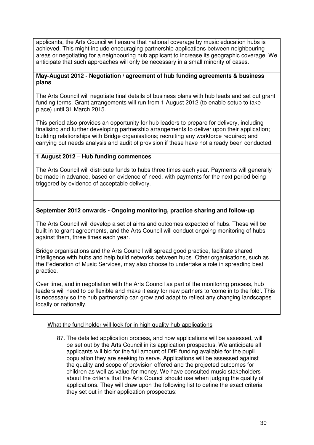applicants, the Arts Council will ensure that national coverage by music education hubs is achieved. This might include encouraging partnership applications between neighbouring areas or negotiating for a neighbouring hub applicant to increase its geographic coverage. We anticipate that such approaches will only be necessary in a small minority of cases.

#### **May-August 2012 - Negotiation / agreement of hub funding agreements & business plans**

 The Arts Council will negotiate final details of business plans with hub leads and set out grant funding terms. Grant arrangements will run from 1 August 2012 (to enable setup to take place) until 31 March 2015.

 This period also provides an opportunity for hub leaders to prepare for delivery, including finalising and further developing partnership arrangements to deliver upon their application; building relationships with Bridge organisations; recruiting any workforce required; and carrying out needs analysis and audit of provision if these have not already been conducted.

# **1 August 2012 – Hub funding commences**

 The Arts Council will distribute funds to hubs three times each year. Payments will generally be made in advance, based on evidence of need, with payments for the next period being triggered by evidence of acceptable delivery.

# **September 2012 onwards - Ongoing monitoring, practice sharing and follow-up**

 The Arts Council will develop a set of aims and outcomes expected of hubs. These will be built in to grant agreements, and the Arts Council will conduct ongoing monitoring of hubs against them, three times each year.

 Bridge organisations and the Arts Council will spread good practice, facilitate shared intelligence with hubs and help build networks between hubs. Other organisations, such as the Federation of Music Services, may also choose to undertake a role in spreading best practice.

 Over time, and in negotiation with the Arts Council as part of the monitoring process, hub leaders will need to be flexible and make it easy for new partners to 'come in to the fold'. This is necessary so the hub partnership can grow and adapt to reflect any changing landscapes locally or nationally.

#### What the fund holder will look for in high quality hub applications

 87. The detailed application process, and how applications will be assessed, will be set out by the Arts Council in its application prospectus. We anticipate all applicants will bid for the full amount of DfE funding available for the pupil population they are seeking to serve. Applications will be assessed against the quality and scope of provision offered and the projected outcomes for children as well as value for money. We have consulted music stakeholders about the criteria that the Arts Council should use when judging the quality of applications. They will draw upon the following list to define the exact criteria they set out in their application prospectus: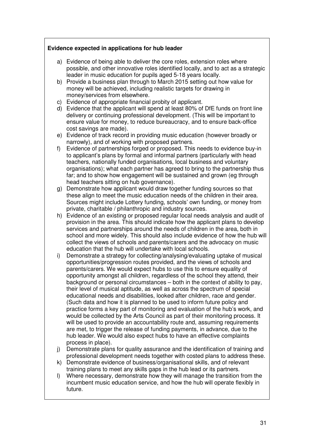# **Evidence expected in applications for hub leader**

- a) Evidence of being able to deliver the core roles, extension roles where possible, and other innovative roles identified locally, and to act as a strategic leader in music education for pupils aged 5-18 years locally.
- b) Provide a business plan through to March 2015 setting out how value for money will be achieved, including realistic targets for drawing in money/services from elsewhere.
- c) Evidence of appropriate financial probity of applicant.
- d) Evidence that the applicant will spend at least 80% of DfE funds on front line delivery or continuing professional development. (This will be important to ensure value for money, to reduce bureaucracy, and to ensure back-office cost savings are made).
- e) Evidence of track record in providing music education (however broadly or narrowly), and of working with proposed partners.
- $f$ ) to applicant's plans by formal and informal partners (particularly with head teachers, nationally funded organisations, local business and voluntary organisations); what each partner has agreed to bring to the partnership thus far; and to show how engagement will be sustained and grown (eg through head teachers sitting on hub governance). Evidence of partnerships forged or proposed. This needs to evidence buy-in
- g) Demonstrate how applicant would draw together funding sources so that these align to meet the music education needs of the children in their area. Sources might include Lottery funding, schools' own funding, or money from private, charitable / philanthropic and industry sources.
- h) Evidence of an existing or proposed regular local needs analysis and audit of provision in the area. This should indicate how the applicant plans to develop services and partnerships around the needs of children in the area, both in school and more widely. This should also include evidence of how the hub will collect the views of schools and parents/carers and the advocacy on music education that the hub will undertake with local schools.
- i) Demonstrate a strategy for collecting/analysing/evaluating uptake of musical opportunities/progression routes provided, and the views of schools and parents/carers. We would expect hubs to use this to ensure equality of opportunity amongst all children, regardless of the school they attend, their background or personal circumstances – both in the context of ability to pay, their level of musical aptitude, as well as across the spectrum of special educational needs and disabilities, looked after children, race and gender. (Such data and how it is planned to be used to inform future policy and practice forms a key part of monitoring and evaluation of the hub's work, and would be collected by the Arts Council as part of their monitoring process. It will be used to provide an accountability route and, assuming requirements are met, to trigger the release of funding payments, in advance, due to the hub leader. We would also expect hubs to have an effective complaints process in place).
- j) Demonstrate plans for quality assurance and the identification of training and professional development needs together with costed plans to address these.
- k) Demonstrate evidence of business/organisational skills, and of relevant training plans to meet any skills gaps in the hub lead or its partners.
- $\mathsf{D}$  incumbent music education service, and how the hub will operate flexibly in Where necessary, demonstrate how they will manage the transition from the future.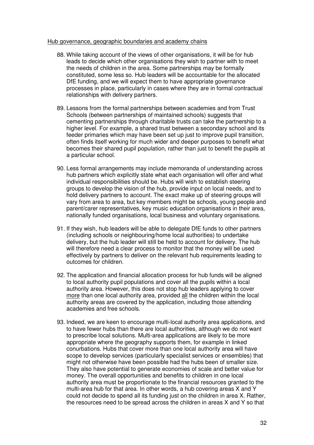#### Hub governance, geographic boundaries and academy chains

- 88. While taking account of the views of other organisations, it will be for hub leads to decide which other organisations they wish to partner with to meet the needs of children in the area. Some partnerships may be formally constituted, some less so. Hub leaders will be accountable for the allocated DfE funding, and we will expect them to have appropriate governance processes in place, particularly in cases where they are in formal contractual relationships with delivery partners.
- 89. Lessons from the formal partnerships between academies and from Trust Schools (between partnerships of maintained schools) suggests that cementing partnerships through charitable trusts can take the partnership to a higher level. For example, a shared trust between a secondary school and its feeder primaries which may have been set up just to improve pupil transition, often finds itself working for much wider and deeper purposes to benefit what becomes their shared pupil population, rather than just to benefit the pupils at a particular school.
- 90. Less formal arrangements may include memoranda of understanding across hub partners which explicitly state what each organisation will offer and what individual responsibilities should be. Hubs will wish to establish steering groups to develop the vision of the hub, provide input on local needs, and to hold delivery partners to account. The exact make up of steering groups will vary from area to area, but key members might be schools, young people and parent/carer representatives, key music education organisations in their area, nationally funded organisations, local business and voluntary organisations.
- 91. If they wish, hub leaders will be able to delegate DfE funds to other partners (including schools or neighbouring/home local authorities) to undertake delivery, but the hub leader will still be held to account for delivery. The hub will therefore need a clear process to monitor that the money will be used effectively by partners to deliver on the relevant hub requirements leading to outcomes for children.
- 92. The application and financial allocation process for hub funds will be aligned to local authority pupil populations and cover all the pupils within a local authority area. However, this does not stop hub leaders applying to cover more than one local authority area, provided all the children within the local authority areas are covered by the application, including those attending academies and free schools.
- 93. Indeed, we are keen to encourage multi-local authority area applications, and to have fewer hubs than there are local authorities, although we do not want to prescribe local solutions. Multi-area applications are likely to be more appropriate where the geography supports them, for example in linked conurbations. Hubs that cover more than one local authority area will have scope to develop services (particularly specialist services or ensembles) that might not otherwise have been possible had the hubs been of smaller size. They also have potential to generate economies of scale and better value for money. The overall opportunities and benefits to children in one local authority area must be proportionate to the financial resources granted to the multi-area hub for that area. In other words, a hub covering areas X and Y could not decide to spend all its funding just on the children in area X. Rather, the resources need to be spread across the children in areas X and Y so that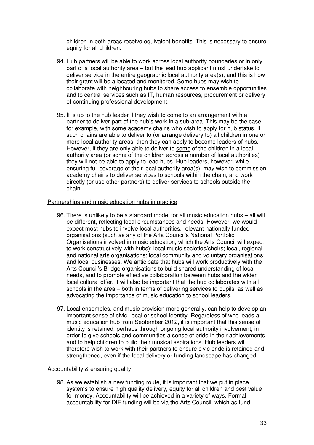children in both areas receive equivalent benefits. This is necessary to ensure equity for all children.

- 94. Hub partners will be able to work across local authority boundaries or in only part of a local authority area – but the lead hub applicant must undertake to deliver service in the entire geographic local authority area(s), and this is how their grant will be allocated and monitored. Some hubs may wish to collaborate with neighbouring hubs to share access to ensemble opportunities and to central services such as IT, human resources, procurement or delivery of continuing professional development.
- 95. It is up to the hub leader if they wish to come to an arrangement with a partner to deliver part of the hub's work in a sub-area. This may be the case, for example, with some academy chains who wish to apply for hub status. If such chains are able to deliver to (or arrange delivery to) all children in one or more local authority areas, then they can apply to become leaders of hubs. However, if they are only able to deliver to some of the children in a local authority area (or some of the children across a number of local authorities) they will not be able to apply to lead hubs. Hub leaders, however, while ensuring full coverage of their local authority area(s), may wish to commission academy chains to deliver services to schools within the chain, and work directly (or use other partners) to deliver services to schools outside the chain.

#### Partnerships and music education hubs in practice

- 96. There is unlikely to be a standard model for all music education hubs all will be different, reflecting local circumstances and needs. However, we would expect most hubs to involve local authorities, relevant nationally funded organisations (such as any of the Arts Council's National Portfolio Organisations involved in music education, which the Arts Council will expect to work constructively with hubs); local music societies/choirs; local, regional and national arts organisations; local community and voluntary organisations; and local businesses. We anticipate that hubs will work productively with the Arts Council's Bridge organisations to build shared understanding of local needs, and to promote effective collaboration between hubs and the wider local cultural offer. It will also be important that the hub collaborates with all schools in the area – both in terms of delivering services to pupils, as well as advocating the importance of music education to school leaders.
- 97. Local ensembles, and music provision more generally, can help to develop an important sense of civic, local or school identity. Regardless of who leads a music education hub from September 2012, it is important that this sense of identity is retained, perhaps through ongoing local authority involvement, in order to give schools and communities a sense of pride in their achievements and to help children to build their musical aspirations. Hub leaders will therefore wish to work with their partners to ensure civic pride is retained and strengthened, even if the local delivery or funding landscape has changed.

#### Accountability & ensuring quality

 98. As we establish a new funding route, it is important that we put in place systems to ensure high quality delivery, equity for all children and best value for money. Accountability will be achieved in a variety of ways. Formal accountability for DfE funding will be via the Arts Council, which as fund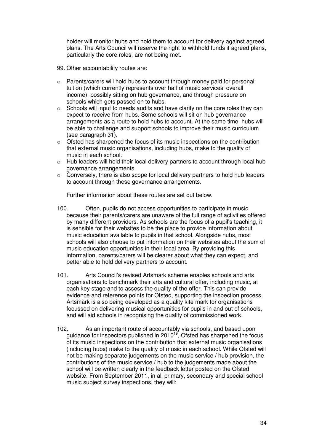holder will monitor hubs and hold them to account for delivery against agreed plans. The Arts Council will reserve the right to withhold funds if agreed plans, particularly the core roles, are not being met.

- 99. Other accountability routes are:
- $\circ$  Parents/carers will hold hubs to account through money paid for personal tuition (which currently represents over half of music services' overall income), possibly sitting on hub governance, and through pressure on schools which gets passed on to hubs.
- $\circ$  expect to receive from hubs. Some schools will sit on hub governance arrangements as a route to hold hubs to account. At the same time, hubs will be able to challenge and support schools to improve their music curriculum (see paragraph 31). Schools will input to needs audits and have clarity on the core roles they can
- $\circ$  that external music organisations, including hubs, make to the quality of music in each school. Ofsted has sharpened the focus of its music inspections on the contribution
- $\circ$ Hub leaders will hold their local delivery partners to account through local hub governance arrangements.
- $\circ$  Conversely, there is also scope for local delivery partners to hold hub leaders to account through these governance arrangements.

Further information about these routes are set out below.

- 100. Often, pupils do not access opportunities to participate in music because their parents/carers are unaware of the full range of activities offered by many different providers. As schools are the focus of a pupil's teaching, it is sensible for their websites to be the place to provide information about music education available to pupils in that school. Alongside hubs, most schools will also choose to put information on their websites about the sum of music education opportunities in their local area. By providing this information, parents/carers will be clearer about what they can expect, and better able to hold delivery partners to account.
- $101.$  organisations to benchmark their arts and cultural offer, including music, at each key stage and to assess the quality of the offer. This can provide evidence and reference points for Ofsted, supporting the inspection process. Artsmark is also being developed as a quality kite mark for organisations focussed on delivering musical opportunities for pupils in and out of schools, and will aid schools in recognising the quality of commissioned work. Arts Council's revised Artsmark scheme enables schools and arts
- $102.$ guidance for inspectors published in 2010<sup>19</sup>, Ofsted has sharpened the focus of its music inspections on the contribution that external music organisations (including hubs) make to the quality of music in each school. While Ofsted will not be making separate judgements on the music service / hub provision, the contributions of the music service / hub to the judgements made about the school will be written clearly in the feedback letter posted on the Ofsted website. From September 2011, in all primary, secondary and special school music subject survey inspections, they will: As an important route of accountably via schools, and based upon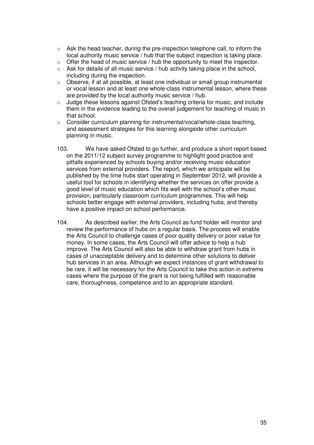- $\circ$  Ask the head teacher, during the pre-inspection telephone call, to inform the local authority music service / hub that the subject inspection is taking place.
- $\circ$ Offer the head of music service / hub the opportunity to meet the inspector.
- including during the inspection.  $\circ$  Ask for details of all music service / hub activity taking place in the school,
- $\circ$  or vocal lesson and at least one whole-class instrumental lesson, where these are provided by the local authority music service / hub. Observe, if at all possible, at least one individual or small group instrumental
- $\circ$  them in the evidence leading to the overall judgement for teaching of music in that school. Judge these lessons against Ofsted's teaching criteria for music, and include
- $\circ$  Consider curriculum planning for instrumental/vocal/whole-class teaching, and assessment strategies for this learning alongside other curriculum planning in music.
- on the 2011/12 subject survey programme to highlight good practice and pitfalls experienced by schools buying and/or receiving music education services from external providers. The report, which we anticipate will be published by the time hubs start operating in September 2012, will provide a useful tool for schools in identifying whether the services on offer provide a good level of music education which fits well with the school's other music provision, particularly classroom curriculum programmes. This will help schools better engage with external providers, including hubs, and thereby have a positive impact on school performance. We have asked Ofsted to go further, and produce a short report based
- $104.$  review the performance of hubs on a regular basis. The process will enable the Arts Council to challenge cases of poor quality delivery or poor value for money. In some cases, the Arts Council will offer advice to help a hub improve. The Arts Council will also be able to withdraw grant from hubs in cases of unacceptable delivery and to determine other solutions to deliver hub services in an area. Although we expect instances of grant withdrawal to be rare, it will be necessary for the Arts Council to take this action in extreme cases where the purpose of the grant is not being fulfilled with reasonable care, thoroughness, competence and to an appropriate standard. As described earlier, the Arts Council as fund holder will monitor and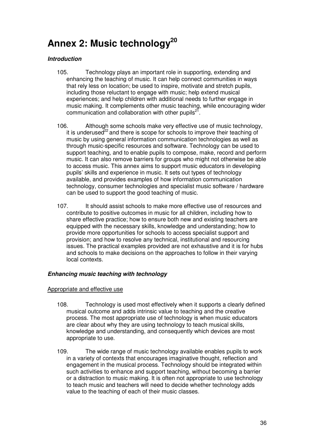# <span id="page-35-0"></span>Annex 2: Music technology<sup>20</sup>

# **Introduction**

- 105. Technology plays an important role in supporting, extending and enhancing the teaching of music. It can help connect communities in ways that rely less on location; be used to inspire, motivate and stretch pupils, including those reluctant to engage with music; help extend musical experiences; and help children with additional needs to further engage in music making. It complements other music teaching, while encouraging wider communication and collaboration with other pupils $^{21}$ .
- 106. Although some schools make very effective use of music technology, it is underused $^{22}$  and there is scope for schools to improve their teaching of music by using general information communication technologies as well as through music-specific resources and software. Technology can be used to support teaching, and to enable pupils to compose, make, record and perform music. It can also remove barriers for groups who might not otherwise be able to access music. This annex aims to support music educators in developing pupils' skills and experience in music. It sets out types of technology available, and provides examples of how information communication technology, consumer technologies and specialist music software / hardware can be used to support the good teaching of music.
- $107.$  contribute to positive outcomes in music for all children, including how to share effective practice; how to ensure both new and existing teachers are equipped with the necessary skills, knowledge and understanding; how to provide more opportunities for schools to access specialist support and provision; and how to resolve any technical, institutional and resourcing issues. The practical examples provided are not exhaustive and it is for hubs and schools to make decisions on the approaches to follow in their varying local contexts. It should assist schools to make more effective use of resources and

#### **Enhancing music teaching with technology**

## Appropriate and effective use

- 108. Technology is used most effectively when it supports a clearly defined musical outcome and adds intrinsic value to teaching and the creative process. The most appropriate use of technology is when music educators are clear about why they are using technology to teach musical skills, knowledge and understanding, and consequently which devices are most appropriate to use.
- $109<sub>1</sub>$  in a variety of contexts that encourages imaginative thought, reflection and engagement in the musical process. Technology should be integrated within such activities to enhance and support teaching, without becoming a barrier or a distraction to music making. It is often not appropriate to use technology to teach music and teachers will need to decide whether technology adds value to the teaching of each of their music classes. The wide range of music technology available enables pupils to work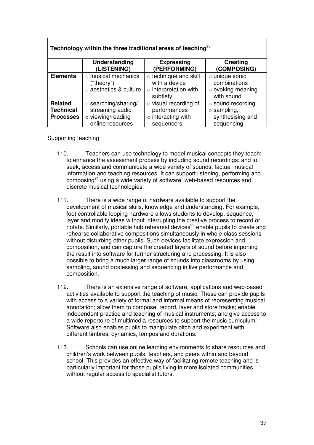| Technology within the three traditional areas of teaching <sup>23</sup> |                                                                                              |                                                                                         |                                                                                |  |
|-------------------------------------------------------------------------|----------------------------------------------------------------------------------------------|-----------------------------------------------------------------------------------------|--------------------------------------------------------------------------------|--|
|                                                                         | Understanding<br>(LISTENING)                                                                 | <b>Expressing</b><br>(PERFORMING)                                                       | Creating<br>(COMPOSING)                                                        |  |
| <b>Elements</b>                                                         | $\circ$ musical mechanics<br>("theory")<br>o aesthetics & culture                            | $\circ$ technique and skill<br>with a device<br>$\circ$ interpretation with<br>subtlety | o unique sonic<br>combinations<br>$\circ$ evoking meaning<br>with sound        |  |
| <b>Related</b><br><b>Technical</b><br><b>Processes</b>                  | $\circ$ searching/sharing/<br>streaming audio<br>$\circ$ viewing/reading<br>online resources | $\circ$ visual recording of<br>performances<br>$\circ$ interacting with<br>sequencers   | $\circ$ sound recording<br>$\circ$ sampling,<br>synthesising and<br>sequencing |  |

# Supporting teaching

- 110. Teachers can use technology to model musical concepts they teach; to enhance the assessment process by including sound recordings; and to seek, access and communicate a wide variety of sounds, factual musical information and teaching resources. It can support listening, performing and composing<sup>24</sup> using a wide variety of software, web-based resources and discrete musical technologies.
- 111. There is a wide range of hardware available to support the development of musical skills, knowledge and understanding. For example, foot controllable looping hardware allows students to develop, sequence, layer and modify ideas without interrupting the creative process to record or notate. Similarly, portable hub rehearsal devices<sup>25</sup> enable pupils to create and rehearse collaborative compositions simultaneously in whole-class sessions without disturbing other pupils. Such devices facilitate expression and composition, and can capture the created layers of sound before importing the result into software for further structuring and processing. It is also possible to bring a much larger range of sounds into classrooms by using sampling, sound processing and sequencing in live performance and composition.
- composition. 112. There is an extensive range of software, applications and web-based activities available to support the teaching of music. These can provide pupils with access to a variety of formal and informal means of representing musical annotation; allow them to compose, record, layer and store tracks; enable independent practice and teaching of musical instruments; and give access to a wide repertoire of multimedia resources to support the music curriculum. Software also enables pupils to manipulate pitch and experiment with different timbres, dynamics, tempos and durations.
- 113. Schools can use online learning environments to share resources and children's work between pupils, teachers, and peers within and beyond school. This provides an effective way of facilitating remote teaching and is particularly important for those pupils living in more isolated communities, without regular access to specialist tutors.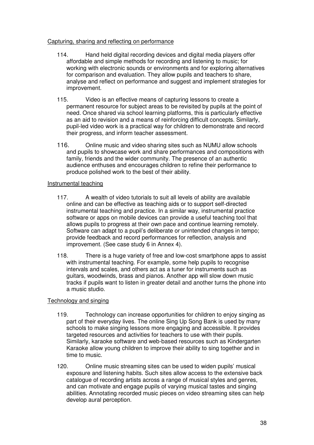#### Capturing, sharing and reflecting on performance

- 114. Hand held digital recording devices and digital media players offer affordable and simple methods for recording and listening to music; for working with electronic sounds or environments and for exploring alternatives for comparison and evaluation. They allow pupils and teachers to share, analyse and reflect on performance and suggest and implement strategies for improvement.
- improvement. 115. Video is an effective means of capturing lessons to create a permanent resource for subject areas to be revisited by pupils at the point of need. Once shared via school learning platforms, this is particularly effective as an aid to revision and a means of reinforcing difficult concepts. Similarly, pupil-led video work is a practical way for children to demonstrate and record their progress, and inform teacher assessment.
- 116. Online music and video sharing sites such as NUMU allow schools and pupils to showcase work and share performances and compositions with family, friends and the wider community. The presence of an authentic audience enthuses and encourages children to refine their performance to produce polished work to the best of their ability.

#### Instrumental teaching

- $117.$  online and can be effective as teaching aids or to support self-directed instrumental teaching and practice. In a similar way, instrumental practice software or apps on mobile devices can provide a useful teaching tool that allows pupils to progress at their own pace and continue learning remotely. Software can adapt to a pupil's deliberate or unintended changes in tempo; provide feedback and record performances for reflection, analysis and improvement. (See case study 6 in Annex 4). A wealth of video tutorials to suit all levels of ability are available
- 118. There is a huge variety of free and low-cost smartphone apps to assist with instrumental teaching. For example, some help pupils to recognise intervals and scales, and others act as a tuner for instruments such as guitars, woodwinds, brass and pianos. Another app will slow down music tracks if pupils want to listen in greater detail and another turns the phone into a music studio.

# Technology and singing

- 119. Technology can increase opportunities for children to enjoy singing as part of their everyday lives. The online Sing Up Song Bank is used by many schools to make singing lessons more engaging and accessible. It provides targeted resources and activities for teachers to use with their pupils. Similarly, karaoke software and web-based resources such as Kindergarten Karaoke allow young children to improve their ability to sing together and in time to music.
- 120. Online music streaming sites can be used to widen pupils' musical exposure and listening habits. Such sites allow access to the extensive back catalogue of recording artists across a range of musical styles and genres, and can motivate and engage pupils of varying musical tastes and singing abilities. Annotating recorded music pieces on video streaming sites can help develop aural perception.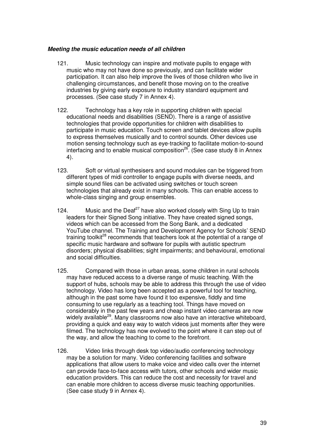### **Meeting the music education needs of all children**

- 121. Music technology can inspire and motivate pupils to engage with music who may not have done so previously, and can facilitate wider participation. It can also help improve the lives of those children who live in challenging circumstances, and benefit those moving on to the creative industries by giving early exposure to industry standard equipment and processes. (See case study 7 in Annex 4).
- 122. Technology has a key role in supporting children with special educational needs and disabilities (SEND). There is a range of assistive technologies that provide opportunities for children with disabilities to participate in music education. Touch screen and tablet devices allow pupils to express themselves musically and to control sounds. Other devices use motion sensing technology such as eye-tracking to facilitate motion-to-sound interfacing and to enable musical composition<sup>26</sup>. (See case study 8 in Annex 4).
- $123.$  different types of midi controller to engage pupils with diverse needs, and simple sound files can be activated using switches or touch screen technologies that already exist in many schools. This can enable access to whole-class singing and group ensembles. Soft or virtual synthesisers and sound modules can be triggered from
- 124. Music and the Deaf<sup>27</sup> have also worked closely with Sing Up to train leaders for their Signed Song initiative. They have created signed songs, videos which can be accessed from the Song Bank, and a dedicated YouTube channel. The Training and Development Agency for Schools' SEND training toolkit<sup>28</sup> recommends that teachers look at the potential of a range of specific music hardware and software for pupils with autistic spectrum disorders; physical disabilities; sight impairments; and behavioural, emotional and social difficulties.
- 125. Compared with those in urban areas, some children in rural schools may have reduced access to a diverse range of music teaching. With the support of hubs, schools may be able to address this through the use of video technology. Video has long been accepted as a powerful tool for teaching, although in the past some have found it too expensive, fiddly and time consuming to use regularly as a teaching tool. Things have moved on considerably in the past few years and cheap instant video cameras are now widely available<sup>29</sup>. Many classrooms now also have an interactive whiteboard, providing a quick and easy way to watch videos just moments after they were filmed. The technology has now evolved to the point where it can step out of the way, and allow the teaching to come to the forefront.
- 126. Video links through desk top video/audio conferencing technology may be a solution for many. Video conferencing facilities and software applications that allow users to make voice and video calls over the internet can provide face-to-face access with tutors, other schools and wider music education providers. This can reduce the cost and necessity for travel and can enable more children to access diverse music teaching opportunities. (See case study 9 in Annex 4).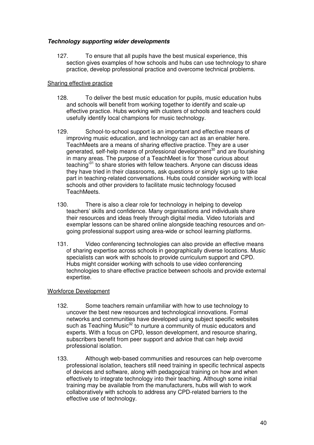# **Technology supporting wider developments**

 $127.$  section gives examples of how schools and hubs can use technology to share practice, develop professional practice and overcome technical problems. To ensure that all pupils have the best musical experience, this

# Sharing effective practice

- $128.$  and schools will benefit from working together to identify and scale-up effective practice. Hubs working with clusters of schools and teachers could usefully identify local champions for music technology. To deliver the best music education for pupils, music education hubs
- 129. School-to-school support is an important and effective means of improving music education, and technology can act as an enabler here. TeachMeets are a means of sharing effective practice. They are a user generated, self-help means of professional development<sup>30</sup> and are flourishing in many areas. The purpose of a TeachMeet is for 'those curious about teaching<sup>31</sup> to share stories with fellow teachers. Anyone can discuss ideas they have tried in their classrooms, ask questions or simply sign up to take part in teaching-related conversations. Hubs could consider working with local schools and other providers to facilitate music technology focused TeachMeets.
- TeachMeets.<br>130. There is also a clear role for technology in helping to develop teachers' skills and confidence. Many organisations and individuals share their resources and ideas freely through digital media. Video tutorials and exemplar lessons can be shared online alongside teaching resources and on-going professional support using area-wide or school learning platforms.
- 131. Video conferencing technologies can also provide an effective means of sharing expertise across schools in geographically diverse locations. Music specialists can work with schools to provide curriculum support and CPD. Hubs might consider working with schools to use video conferencing technologies to share effective practice between schools and provide external expertise.

# Workforce Development

- 132. Some teachers remain unfamiliar with how to use technology to uncover the best new resources and technological innovations. Formal networks and communities have developed using subject specific websites such as Teaching Music<sup>32</sup> to nurture a community of music educators and experts. With a focus on CPD, lesson development, and resource sharing, subscribers benefit from peer support and advice that can help avoid professional isolation.
- 133. Although web-based communities and resources can help overcome professional isolation, teachers still need training in specific technical aspects of devices and software, along with pedagogical training on how and when effectively to integrate technology into their teaching. Although some initial training may be available from the manufacturers, hubs will wish to work collaboratively with schools to address any CPD-related barriers to the effective use of technology.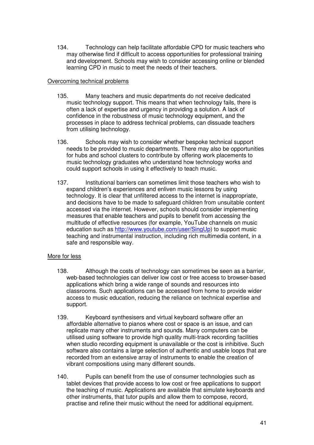134. Technology can help facilitate affordable CPD for music teachers who may otherwise find if difficult to access opportunities for professional training and development. Schools may wish to consider accessing online or blended learning CPD in music to meet the needs of their teachers.

### Overcoming technical problems

- 135. Many teachers and music departments do not receive dedicated music technology support. This means that when technology fails, there is often a lack of expertise and urgency in providing a solution. A lack of confidence in the robustness of music technology equipment, and the processes in place to address technical problems, can dissuade teachers from utilising technology.
- 136. Schools may wish to consider whether bespoke technical support needs to be provided to music departments. There may also be opportunities for hubs and school clusters to contribute by offering work placements to music technology graduates who understand how technology works and could support schools in using it effectively to teach music.
- 137. Institutional barriers can sometimes limit those teachers who wish to expand children's experiences and enliven music lessons by using technology. It is clear that unfiltered access to the internet is inappropriate, and decisions have to be made to safeguard children from unsuitable content accessed via the internet. However, schools should consider implementing measures that enable teachers and pupils to benefit from accessing the multitude of effective resources (for example, YouTube channels on music education such as http://www.youtube.com/user/SingUp) to support music teaching and instrumental instruction, including rich multimedia content, in a safe and responsible way.

# More for less

- 138. Although the costs of technology can sometimes be seen as a barrier, web-based technologies can deliver low cost or free access to browser-based applications which bring a wide range of sounds and resources into classrooms. Such applications can be accessed from home to provide wider access to music education, reducing the reliance on technical expertise and support.
- support.<br>139. Keyboard synthesisers and virtual keyboard software offer an affordable alternative to pianos where cost or space is an issue, and can replicate many other instruments and sounds. Many computers can be utilised using software to provide high quality multi-track recording facilities when studio recording equipment is unavailable or the cost is inhibitive. Such software also contains a large selection of authentic and usable loops that are recorded from an extensive array of instruments to enable the creation of vibrant compositions using many different sounds.
- 140. Pupils can benefit from the use of consumer technologies such as tablet devices that provide access to low cost or free applications to support the teaching of music. Applications are available that simulate keyboards and other instruments, that tutor pupils and allow them to compose, record, practise and refine their music without the need for additional equipment.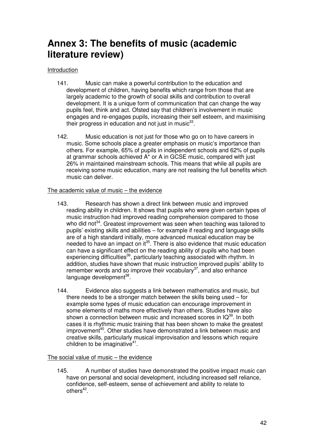# <span id="page-41-0"></span> **Annex 3: The benefits of music (academic literature review)**

### Introduction

- 141. Music can make a powerful contribution to the education and development of children, having benefits which range from those that are largely academic to the growth of social skills and contribution to overall development. It is a unique form of communication that can change the way pupils feel, think and act. Ofsted say that children's involvement in music engages and re-engages pupils, increasing their self esteem, and maximising their progress in education and not just in music $^{33}$ .
- 142. Music education is not just for those who go on to have careers in music. Some schools place a greater emphasis on music's importance than others. For example, 65% of pupils in independent schools and 62% of pupils at grammar schools achieved A\* or A in GCSE music, compared with just 26% in maintained mainstream schools. This means that while all pupils are receiving some music education, many are not realising the full benefits which music can deliver.

#### The academic value of music – the evidence

- 143. Research has shown a direct link between music and improved reading ability in children. It shows that pupils who were given certain types of music instruction had improved reading comprehension compared to those who did not<sup>34</sup>. Greatest improvement was seen when teaching was tailored to pupils' existing skills and abilities – for example if reading and language skills are of a high standard initially, more advanced musical education may be needed to have an impact on it<sup>35</sup>. There is also evidence that music education can have a significant effect on the reading ability of pupils who had been experiencing difficulties<sup>36</sup>, particularly teaching associated with rhythm. In addition, studies have shown that music instruction improved pupils' ability to remember words and so improve their vocabulary $37$ , and also enhance language development<sup>38</sup>.
- 144. Evidence also suggests a link between mathematics and music, but there needs to be a stronger match between the skills being used – for example some types of music education can encourage improvement in some elements of maths more effectively than others. Studies have also shown a connection between music and increased scores in  $IQ^{39}$ . In both cases it is rhythmic music training that has been shown to make the greatest improvement<sup>40</sup>. Other studies have demonstrated a link between music and creative skills, particularly musical improvisation and lessons which require children to be imaginative $41$ .

#### The social value of music – the evidence

 $145.$  have on personal and social development, including increased self reliance, confidence, self-esteem, sense of achievement and ability to relate to A number of studies have demonstrated the positive impact music can  $others<sup>42</sup>$ .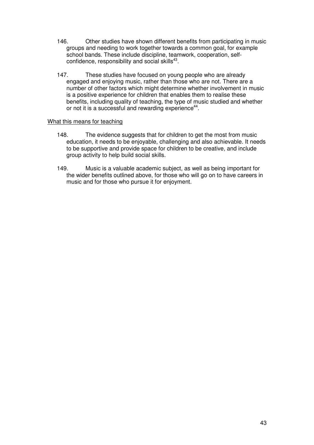- 146. Other studies have shown different benefits from participating in music groups and needing to work together towards a common goal, for example school bands. These include discipline, teamwork, cooperation, selfconfidence, responsibility and social skills $43$ .
- 147. These studies have focused on young people who are already engaged and enjoying music, rather than those who are not. There are a number of other factors which might determine whether involvement in music is a positive experience for children that enables them to realise these benefits, including quality of teaching, the type of music studied and whether or not it is a successful and rewarding experience<sup>44</sup>.

#### What this means for teaching

- $148.$  education, it needs to be enjoyable, challenging and also achievable. It needs to be supportive and provide space for children to be creative, and include group activity to help build social skills. The evidence suggests that for children to get the most from music
- 149. Music is a valuable academic subject, as well as being important for the wider benefits outlined above, for those who will go on to have careers in music and for those who pursue it for enjoyment.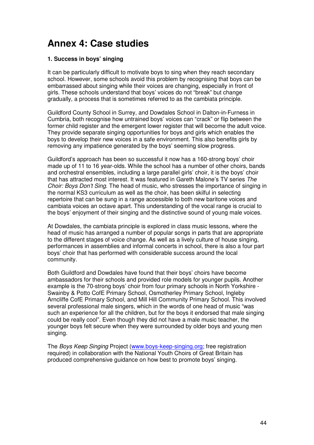# <span id="page-43-0"></span> **Annex 4: Case studies**

# **1. Success in boys' singing**

 It can be particularly difficult to motivate boys to sing when they reach secondary school. However, some schools avoid this problem by recognising that boys can be embarrassed about singing while their voices are changing, especially in front of girls. These schools understand that boys' voices do not "break" but change gradually, a process that is sometimes referred to as the cambiata principle.

 Guildford County School in Surrey, and Dowdales School in Dalton-in-Furness in Cumbria, both recognise how untrained boys' voices can "crack" or flip between the former child register and the emergent lower register that will become the adult voice. They provide separate singing opportunities for boys and girls which enables the boys to develop their new voices in a safe environment. This also benefits girls by removing any impatience generated by the boys' seeming slow progress.

 Guildford's approach has been so successful it now has a 160-strong boys' choir made up of 11 to 16 year-olds. While the school has a number of other choirs, bands and orchestral ensembles, including a large parallel girls' choir, it is the boys' choir that has attracted most interest. It was featured in Gareth Malone's TV series The Choir: Boys Don't Sing. The head of music, who stresses the importance of singing in the normal KS3 curriculum as well as the choir, has been skilful in selecting repertoire that can be sung in a range accessible to both new baritone voices and cambiata voices an octave apart. This understanding of the vocal range is crucial to the boys' enjoyment of their singing and the distinctive sound of young male voices.

 At Dowdales, the cambiata principle is explored in class music lessons, where the head of music has arranged a number of popular songs in parts that are appropriate to the different stages of voice change. As well as a lively culture of house singing, performances in assemblies and informal concerts in school, there is also a four part boys' choir that has performed with considerable success around the local community.

 Both Guildford and Dowdales have found that their boys' choirs have become ambassadors for their schools and provided role models for younger pupils. Another example is the 70-strong boys' choir from four primary schools in North Yorkshire - Swainby & Potto CofE Primary School, Osmotherley Primary School, Ingleby Arncliffe CofE Primary School, and Mill Hill Community Primary School. This involved several professional male singers, which in the words of one head of music "was such an experience for all the children, but for the boys it endorsed that male singing could be really cool". Even though they did not have a male music teacher, the younger boys felt secure when they were surrounded by older boys and young men singing.

singing.<br>The *Boys Keep Singing* Project (<u>www.boys-keep-singing.org</u>; free registration required) in collaboration with the National Youth Choirs of Great Britain has produced comprehensive guidance on how best to promote boys' singing.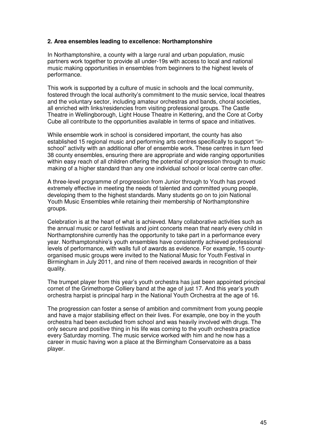# **2. Area ensembles leading to excellence: Northamptonshire**

 In Northamptonshire, a county with a large rural and urban population, music partners work together to provide all under-19s with access to local and national music making opportunities in ensembles from beginners to the highest levels of performance.

performance.<br>This work is supported by a culture of music in schools and the local community, fostered through the local authority's commitment to the music service, local theatres and the voluntary sector, including amateur orchestras and bands, choral societies, all enriched with links/residencies from visiting professional groups. The Castle Theatre in Wellingborough, Light House Theatre in Kettering, and the Core at Corby Cube all contribute to the opportunities available in terms of space and initiatives.

 While ensemble work in school is considered important, the county has also established 15 regional music and performing arts centres specifically to support "in- school" activity with an additional offer of ensemble work. These centres in turn feed 38 county ensembles, ensuring there are appropriate and wide ranging opportunities within easy reach of all children offering the potential of progression through to music making of a higher standard than any one individual school or local centre can offer.

 A three-level programme of progression from Junior through to Youth has proved extremely effective in meeting the needs of talented and committed young people, developing them to the highest standards. Many students go on to join National Youth Music Ensembles while retaining their membership of Northamptonshire groups.

groups.<br>Celebration is at the heart of what is achieved. Many collaborative activities such as the annual music or carol festivals and joint concerts mean that nearly every child in Northamptonshire currently has the opportunity to take part in a performance every year. Northamptonshire's youth ensembles have consistently achieved professional levels of performance, with walls full of awards as evidence. For example, 15 county- organised music groups were invited to the National Music for Youth Festival in Birmingham in July 2011, and nine of them received awards in recognition of their quality.

 The trumpet player from this year's youth orchestra has just been appointed principal cornet of the Grimethorpe Colliery band at the age of just 17. And this year's youth orchestra harpist is principal harp in the National Youth Orchestra at the age of 16.

 The progression can foster a sense of ambition and commitment from young people and have a major stabilising effect on their lives. For example, one boy in the youth orchestra had been excluded from school and was heavily involved with drugs. The only secure and positive thing in his life was coming to the youth orchestra practice every Saturday morning. The music service worked with him and he now has a career in music having won a place at the Birmingham Conservatoire as a bass player.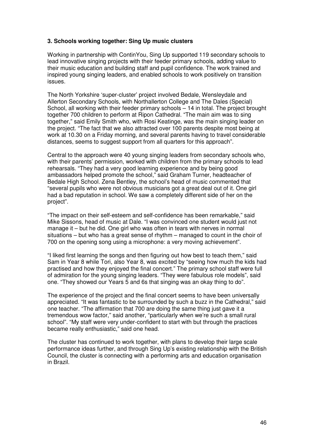# **3. Schools working together: Sing Up music clusters**

 Working in partnership with ContinYou, Sing Up supported 119 secondary schools to lead innovative singing projects with their feeder primary schools, adding value to their music education and building staff and pupil confidence. The work trained and inspired young singing leaders, and enabled schools to work positively on transition issues.

 The North Yorkshire 'super-cluster' project involved Bedale, Wensleydale and Allerton Secondary Schools, with Northallerton College and The Dales (Special) School, all working with their feeder primary schools – 14 in total. The project brought together 700 children to perform at Ripon Cathedral. "The main aim was to sing together," said Emily Smith who, with Rosi Keatinge, was the main singing leader on the project. "The fact that we also attracted over 100 parents despite most being at work at 10.30 on a Friday morning, and several parents having to travel considerable distances, seems to suggest support from all quarters for this approach".

 Central to the approach were 40 young singing leaders from secondary schools who, with their parents' permission, worked with children from the primary schools to lead rehearsals. "They had a very good learning experience and by being good ambassadors helped promote the school," said Graham Turner, headteacher of Bedale High School. Zena Bentley, the school's head of music commented that "several pupils who were not obvious musicians got a great deal out of it. One girl had a bad reputation in school. We saw a completely different side of her on the project".

 "The impact on their self-esteem and self-confidence has been remarkable," said Mike Sissons, head of music at Dale. "I was convinced one student would just not manage it – but he did. One girl who was often in tears with nerves in normal situations – but who has a great sense of rhythm – managed to count in the choir of 700 on the opening song using a microphone: a very moving achievement".

 "I liked first learning the songs and then figuring out how best to teach them," said Sam in Year 8 while Tori, also Year 8, was excited by "seeing how much the kids had practised and how they enjoyed the final concert." The primary school staff were full of admiration for the young singing leaders. "They were fabulous role models", said one. "They showed our Years 5 and 6s that singing was an okay thing to do".

 The experience of the project and the final concert seems to have been universally appreciated. "It was fantastic to be surrounded by such a buzz in the Cathedral," said one teacher. "The affirmation that 700 are doing the same thing just gave it a tremendous wow factor," said another, "particularly when we're such a small rural school". "My staff were very under-confident to start with but through the practices became really enthusiastic," said one head.

 The cluster has continued to work together, with plans to develop their large scale performance ideas further, and through Sing Up's existing relationship with the British Council, the cluster is connecting with a performing arts and education organisation in Brazil.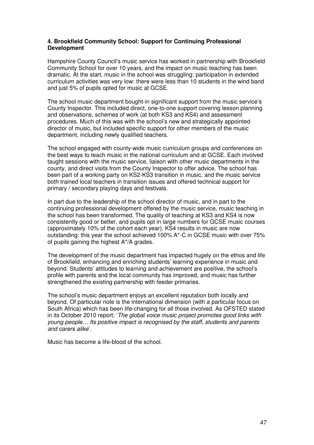#### **4. Brookfield Community School: Support for Continuing Professional Development**

 Hampshire County Council's music service has worked in partnership with Brookfield Community School for over 10 years, and the impact on music teaching has been dramatic. At the start, music in the school was struggling: participation in extended curriculum activities was very low: there were less than 10 students in the wind band and just 5% of pupils opted for music at GCSE.

 The school music department bought-in significant support from the music service's County Inspector. This included direct, one-to-one support covering lesson planning and observations, schemes of work (at both KS3 and KS4) and assessment procedures. Much of this was with the school's new and strategically appointed director of music, but included specific support for other members of the music department, including newly qualified teachers.

 The school engaged with county-wide music curriculum groups and conferences on the best ways to teach music in the national curriculum and at GCSE. Each involved taught sessions with the music service, liaison with other music departments in the county, and direct visits from the County Inspector to offer advice. The school has been part of a working party on KS2-KS3 transition in music, and the music service both trained local teachers in transition issues and offered technical support for primary / secondary playing days and festivals.

 In part due to the leadership of the school director of music, and in part to the continuing professional development offered by the music service, music teaching in the school has been transformed. The quality of teaching at KS3 and KS4 is now consistently good or better, and pupils opt in large numbers for GCSE music courses (approximately 10% of the cohort each year). KS4 results in music are now outstanding: this year the school achieved 100% A\*-C in GCSE music with over 75% of pupils gaining the highest A\*/A grades.

 The development of the music department has impacted hugely on the ethos and life of Brookfield, enhancing and enriching students' learning experience in music and beyond. Students' attitudes to learning and achievement are positive, the school's profile with parents and the local community has improved, and music has further strengthened the existing partnership with feeder primaries.

 The school's music department enjoys an excellent reputation both locally and beyond. Of particular note is the international dimension (with a particular focus on South Africa) which has been life-changing for all those involved. As OFSTED stated in its October 2010 report: 'The global voice music project promotes good links with young people… Its positive impact is recognised by the staff, students and parents and carers alike'.

Music has become a life-blood of the school.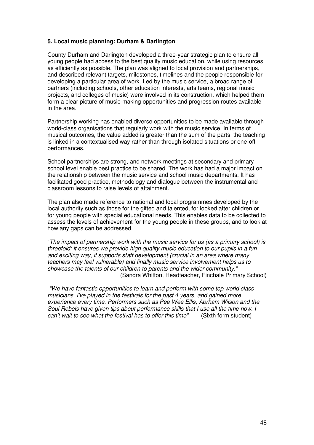### **5. Local music planning: Durham & Darlington**

 County Durham and Darlington developed a three-year strategic plan to ensure all young people had access to the best quality music education, while using resources as efficiently as possible. The plan was aligned to local provision and partnerships, and described relevant targets, milestones, timelines and the people responsible for developing a particular area of work. Led by the music service, a broad range of partners (including schools, other education interests, arts teams, regional music projects, and colleges of music) were involved in its construction, which helped them form a clear picture of music-making opportunities and progression routes available in the area.

 Partnership working has enabled diverse opportunities to be made available through world-class organisations that regularly work with the music service. In terms of musical outcomes, the value added is greater than the sum of the parts: the teaching is linked in a contextualised way rather than through isolated situations or one-off performances.

 School partnerships are strong, and network meetings at secondary and primary school level enable best practice to be shared. The work has had a major impact on the relationship between the music service and school music departments. It has facilitated good practice, methodology and dialogue between the instrumental and classroom lessons to raise levels of attainment.

 The plan also made reference to national and local programmes developed by the local authority such as those for the gifted and talented, for looked after children or for young people with special educational needs. This enables data to be collected to assess the levels of achievement for the young people in these groups, and to look at how any gaps can be addressed.

 "The impact of partnership work with the music service for us (as a primary school) is threefold: it ensures we provide high quality music education to our pupils in a fun and exciting way, it supports staff development (crucial in an area where many teachers may feel vulnerable) and finally music service involvement helps us to showcase the talents of our children to parents and the wider community." (Sandra Whitton, Headteacher, Finchale Primary School)

 "We have fantastic opportunities to learn and perform with some top world class musicians. I've played in the festivals for the past 4 years, and gained more experience every time. Performers such as Pee Wee Ellis, Abrham Wilson and the Soul Rebels have given tips about performance skills that I use all the time now. I can't wait to see what the festival has to offer this time" (Sixth form student)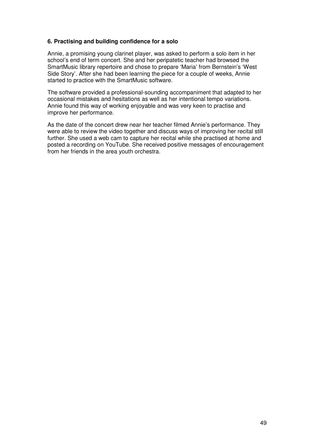# **6. Practising and building confidence for a solo**

 Annie, a promising young clarinet player, was asked to perform a solo item in her school's end of term concert. She and her peripatetic teacher had browsed the SmartMusic library repertoire and chose to prepare 'Maria' from Bernstein's 'West Side Story'. After she had been learning the piece for a couple of weeks, Annie started to practice with the SmartMusic software.

 The software provided a professional-sounding accompaniment that adapted to her occasional mistakes and hesitations as well as her intentional tempo variations. Annie found this way of working enjoyable and was very keen to practise and improve her performance.

 As the date of the concert drew near her teacher filmed Annie's performance. They were able to review the video together and discuss ways of improving her recital still further. She used a web cam to capture her recital while she practised at home and posted a recording on YouTube. She received positive messages of encouragement from her friends in the area youth orchestra.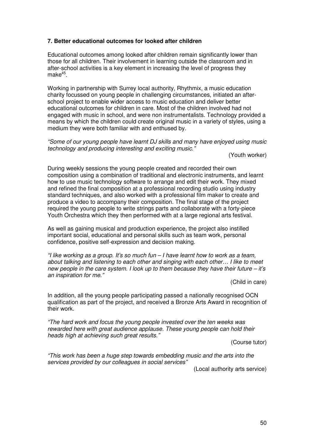# **7. Better educational outcomes for looked after children**

 Educational outcomes among looked after children remain significantly lower than those for all children. Their involvement in learning outside the classroom and in after-school activities is a key element in increasing the level of progress they  $make<sup>45</sup>$ .

 Working in partnership with Surrey local authority, Rhythmix, a music education charity focussed on young people in challenging circumstances, initiated an after- school project to enable wider access to music education and deliver better educational outcomes for children in care. Most of the children involved had not engaged with music in school, and were non instrumentalists. Technology provided a means by which the children could create original music in a variety of styles, using a medium they were both familiar with and enthused by.

 "Some of our young people have learnt DJ skills and many have enjoyed using music technology and producing interesting and exciting music."

(Youth worker)

 During weekly sessions the young people created and recorded their own composition using a combination of traditional and electronic instruments, and learnt how to use music technology software to arrange and edit their work. They mixed and refined the final composition at a professional recording studio using industry standard techniques, and also worked with a professional film maker to create and produce a video to accompany their composition. The final stage of the project required the young people to write strings parts and collaborate with a forty-piece Youth Orchestra which they then performed with at a large regional arts festival.

 As well as gaining musical and production experience, the project also instilled important social, educational and personal skills such as team work, personal confidence, positive self-expression and decision making.

 "I like working as a group. It's so much fun – I have learnt how to work as a team, about talking and listening to each other and singing with each other… I like to meet new people in the care system. I look up to them because they have their future – it's an inspiration for me."

(Child in care)

 In addition, all the young people participating passed a nationally recognised OCN qualification as part of the project, and received a Bronze Arts Award in recognition of their work.

 "The hard work and focus the young people invested over the ten weeks was rewarded here with great audience applause. These young people can hold their heads high at achieving such great results."

(Course tutor)

 "This work has been a huge step towards embedding music and the arts into the services provided by our colleagues in social services"

(Local authority arts service)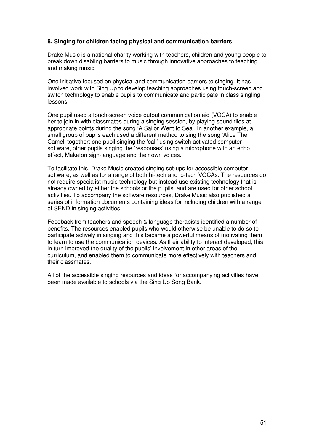# **8. Singing for children facing physical and communication barriers**

 Drake Music is a national charity working with teachers, children and young people to break down disabling barriers to music through innovative approaches to teaching and making music.

 One initiative focused on physical and communication barriers to singing. It has involved work with Sing Up to develop teaching approaches using touch-screen and switch technology to enable pupils to communicate and participate in class singling lessons.

 One pupil used a touch-screen voice output communication aid (VOCA) to enable her to join in with classmates during a singing session, by playing sound files at appropriate points during the song 'A Sailor Went to Sea'. In another example, a small group of pupils each used a different method to sing the song 'Alice The Camel' together; one pupil singing the 'call' using switch activated computer software, other pupils singing the 'responses' using a microphone with an echo effect, Makaton sign-language and their own voices.

 To facilitate this, Drake Music created singing set-ups for accessible computer software, as well as for a range of both hi-tech and lo-tech VOCAs. The resources do not require specialist music technology but instead use existing technology that is already owned by either the schools or the pupils, and are used for other school activities. To accompany the software resources, Drake Music also published a series of information documents containing ideas for including children with a range of SEND in singing activities.

 Feedback from teachers and speech & language therapists identified a number of benefits. The resources enabled pupils who would otherwise be unable to do so to participate actively in singing and this became a powerful means of motivating them to learn to use the communication devices. As their ability to interact developed, this in turn improved the quality of the pupils' involvement in other areas of the curriculum, and enabled them to communicate more effectively with teachers and their classmates.

 All of the accessible singing resources and ideas for accompanying activities have been made available to schools via the Sing Up Song Bank.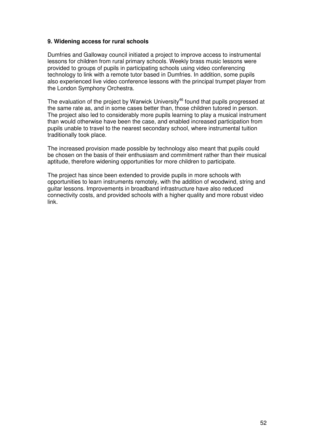# **9. Widening access for rural schools**

 Dumfries and Galloway council initiated a project to improve access to instrumental lessons for children from rural primary schools. Weekly brass music lessons were provided to groups of pupils in participating schools using video conferencing technology to link with a remote tutor based in Dumfries. In addition, some pupils also experienced live video conference lessons with the principal trumpet player from the London Symphony Orchestra.

The evaluation of the project by Warwick University $46$  found that pupils progressed at the same rate as, and in some cases better than, those children tutored in person. The project also led to considerably more pupils learning to play a musical instrument than would otherwise have been the case, and enabled increased participation from pupils unable to travel to the nearest secondary school, where instrumental tuition traditionally took place.

 The increased provision made possible by technology also meant that pupils could be chosen on the basis of their enthusiasm and commitment rather than their musical aptitude, therefore widening opportunities for more children to participate.

 The project has since been extended to provide pupils in more schools with opportunities to learn instruments remotely, with the addition of woodwind, string and guitar lessons. Improvements in broadband infrastructure have also reduced connectivity costs, and provided schools with a higher quality and more robust video link.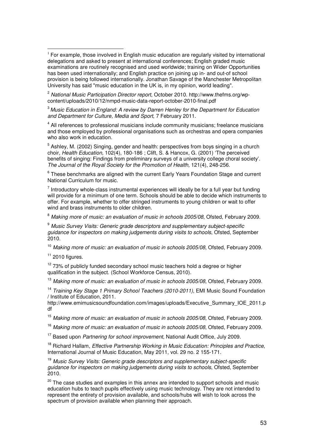$^{\text{2}}$  National Music Participation Director report, October 2010. http://www.thefms.org/wp content/uploads/2010/12/nmpd-music-data-report-october-2010-final.pdf

 $3$  Music Education in England: A review by Darren Henley for the Department for Education and Department for Culture, Media and Sport, 7 February 2011.

<sup>4</sup> All references to professional musicians include community musicians; freelance musicians and those employed by professional organisations such as orchestras and opera companies who also work in education.

 $<sup>5</sup>$  Ashley, M. (2002) Singing, gender and health: perspectives from boys singing in a church</sup> choir, *Health Education,* 102(4), 180-186 ; Clift, S. & Hancox, G. (2001) 'The perceived benefits of singing: Findings from preliminary surveys of a university college choral society'. The Journal of the Royal Society for the Promotion of Health, 121(4), 248-256.

 $6$  These benchmarks are aligned with the current Early Years Foundation Stage and current National Curriculum for music.

 $<sup>7</sup>$  Introductory whole-class instrumental experiences will ideally be for a full year but funding</sup> will provide for a minimum of one term. Schools should be able to decide which instruments to offer. For example, whether to offer stringed instruments to young children or wait to offer wind and brass instruments to older children.

 $^8$  Making more of music: an evaluation of music in schools 2005/08, Ofsted, February 2009.

 $^9$  Music Survey Visits: Generic grade descriptors and supplementary subject-specific guidance for inspectors on making judgements during visits to schools, Ofsted, September 2010.

<sup>10</sup> Making more of music: an evaluation of music in schools 2005/08, Ofsted, February 2009.

 $11$  2010 figures.

 $\overline{a}$ 

 $12$  73% of publicly funded secondary school music teachers hold a degree or higher qualification in the subject. (School Workforce Census, 2010).

<sup>13</sup> Making more of music: an evaluation of music in schools 2005/08, Ofsted, February 2009.

<sup>14</sup> Training Key Stage 1 Primary School Teachers (2010-2011), EMI Music Sound Foundation / Institute of Education, 2011.

http://www.emimusicsoundfoundation.com/images/uploads/Executive\_Summary\_IOE\_2011.p df

<sup>15</sup> Making more of music: an evaluation of music in schools 2005/08, Ofsted, February 2009.

<sup>16</sup> Making more of music: an evaluation of music in schools 2005/08, Ofsted, February 2009.

<sup>17</sup> Based upon Partnering for school improvement, National Audit Office, July 2009.

<sup>18</sup> Richard Hallam, Effective Partnership Working in Music Education: Principles and Practice, International Journal of Music Education, May 2011, vol. 29 no. 2 155-171.

<sup>19</sup> Music Survey Visits: Generic grade descriptors and supplementary subject-specific guidance for inspectors on making judgements during visits to schools, Ofsted, September 2010.

<sup>20</sup> The case studies and examples in this annex are intended to support schools and music education hubs to teach pupils effectively using music technology. They are not intended to represent the entirety of provision available, and schools/hubs will wish to look across the spectrum of provision available when planning their approach.

 $1$  For example, those involved in English music education are regularly visited by international delegations and asked to present at international conferences; English graded music examinations are routinely recognised and used worldwide; training on Wider Opportunities has been used internationally; and English practice on joining up in- and out-of school provision is being followed internationally. Jonathan Savage of the Manchester Metropolitan University has said "music education in the UK is, in my opinion, world leading".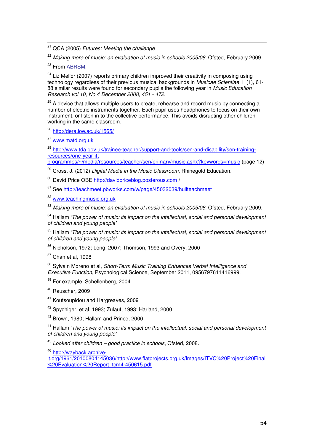<sup>21</sup> QCA (2005) Futures: Meeting the challenge

 $^{22}$  Making more of music: an evaluation of music in schools 2005/08, Ofsted, February 2009

<sup>23</sup> From ABRSM.

 $\overline{a}$ 

<sup>24</sup> Liz Mellor (2007) reports primary children improved their creativity in composing using technology regardless of their previous musical backgrounds in *Musicae Scientiae* 11(1), 61 88 similar results were found for secondary pupils the following year in *Music Education* Research vol 10, No 4 December 2008, 451 - 472.

 $^{25}$  A device that allows multiple users to create, rehearse and record music by connecting a number of electric instruments together. Each pupil uses headphones to focus on their own instrument, or listen in to the collective performance. This avoids disrupting other children working in the same classroom.

<sup>26</sup> http://dera.ioe.ac.uk/1565/<br><sup>27</sup> www.matd.org.uk

<sup>27</sup> www.matd.org.uk

28 http://www.tda.gov.uk/trainee-teacher/support-and-tools/sen-and-disability/sen-trainingresources/one-year-itt

 programmes/~/media/resources/teacher/sen/primary/music.ashx?keywords=music (page 12)

<sup>29</sup> Cross, J. (2012) Digital Media in the Music Classroom, Rhinegold Education.

<sup>30</sup> David Price OBE http://davidpriceblog.posterous.com /

<sup>31</sup> See http://teachmeet.pbworks.com/w/page/45032039/hullteachmeet

<sup>32</sup> www.teachingmusic.org.uk

 $^{33}$  Making more of music: an evaluation of music in schools 2005/08, Ofsted, February 2009.

 $34$  Hallam 'The power of music: its impact on the intellectual, social and personal development of children and young people'

 $^{\rm 35}$  Hallam 'The power of music: its impact on the intellectual, social and personal development of children and young people'

 $^{36}$  Nicholson, 1972; Long, 2007; Thomson, 1993 and Overy, 2000

 $37$  Chan et al, 1998

<sup>38</sup> Sylvain Moreno et al, *Short-Term Music Training Enhances Verbal Intelligence and* Executive Function, Psychological Science, September 2011, 0956797611416999.

<sup>39</sup> For example, Schellenberg, 2004

<sup>40</sup> Rauscher, 2009

<sup>41</sup> Koutsoupidou and Hargreaves, 2009

 $42$  Spychiger, et al, 1993; Zulauf, 1993; Harland, 2000

<sup>43</sup> Brown, 1980; Hallam and Prince, 2000

<sup>44</sup> Hallam 'The power of music: its impact on the intellectual, social and personal development of children and young people'

 $45$  Looked after children – good practice in schools, Ofsted, 2008.

<sup>46</sup> http://wayback.archive

%20Evaluation%20Report\_tcm4-450615.pdf it.org/1961/20100804145036/http://www.flatprojects.org.uk/Images/ITVC%20Project%20Final